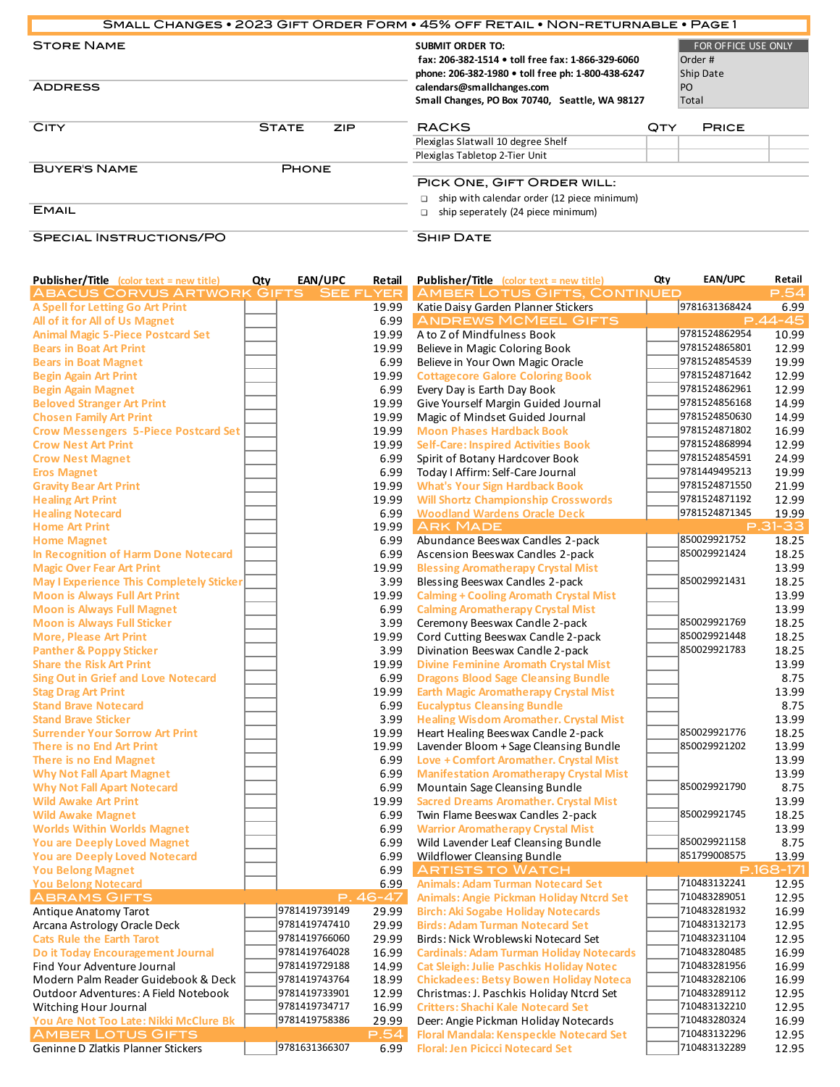|                                     |              |     | SMALL CHANGES . 2023 GIFT ORDER FORM . 45% OFF RETAIL . NON-RETURNABLE . PAGE 1                                                    |     |                                             |  |  |
|-------------------------------------|--------------|-----|------------------------------------------------------------------------------------------------------------------------------------|-----|---------------------------------------------|--|--|
| <b>STORE NAME</b>                   |              |     | <b>SUBMIT ORDER TO:</b><br>fax: 206-382-1514 • toll free fax: 1-866-329-6060<br>phone: 206-382-1980 • toll free ph: 1-800-438-6247 |     | FOR OFFICE USE ONLY<br>Order #<br>Ship Date |  |  |
| <b>ADDRESS</b>                      |              |     | calendars@smallchanges.com<br>Small Changes, PO Box 70740, Seattle, WA 98127                                                       |     | P <sub>O</sub><br>Total                     |  |  |
| <b>CITY</b>                         | <b>STATE</b> | ZIP | <b>RACKS</b>                                                                                                                       | QTY | <b>PRICE</b>                                |  |  |
|                                     |              |     | Plexiglas Slatwall 10 degree Shelf                                                                                                 |     |                                             |  |  |
|                                     |              |     | Plexiglas Tabletop 2-Tier Unit                                                                                                     |     |                                             |  |  |
| <b>BUYER'S NAME</b><br><b>EMAIL</b> | <b>PHONE</b> |     | PICK ONE, GIFT ORDER WILL:<br>ship with calendar order (12 piece minimum)<br>ship seperately (24 piece minimum)<br>$\Box$          |     |                                             |  |  |
| <b>SPECIAL INSTRUCTIONS/PO</b>      |              |     | <b>SHIP DATE</b>                                                                                                                   |     |                                             |  |  |

|  | <b>SPECIAL INSTRUCTIONS/PC</b> |  |
|--|--------------------------------|--|
|--|--------------------------------|--|

## **SHIP DATE**

| <b>Publisher/Title</b> (color text = new title)                 | Qty | EAN/UPC                        | Retail   | <b>Publisher/Title</b> (color text = new title)                                       | Qty | <b>EAN/UPC</b>               | Retail         |
|-----------------------------------------------------------------|-----|--------------------------------|----------|---------------------------------------------------------------------------------------|-----|------------------------------|----------------|
| ABACUS CORVUS ARTWORK GIFTS SEE FLYER                           |     |                                |          | <b>AMBER LOTUS GIFTS, CONTINUED</b>                                                   |     |                              | P.54           |
| <b>A Spell for Letting Go Art Print</b>                         |     |                                | 19.99    | Katie Daisy Garden Planner Stickers                                                   |     | 9781631368424                | 6.99           |
| All of it for All of Us Magnet                                  |     |                                | 6.99     | <b>ANDREWS MCMEEL GIFTS</b>                                                           |     |                              | $P.44 - 45$    |
| <b>Animal Magic 5-Piece Postcard Set</b>                        |     |                                | 19.99    | A to Z of Mindfulness Book                                                            |     | 9781524862954                | 10.99          |
| <b>Bears in Boat Art Print</b>                                  |     |                                | 19.99    | Believe in Magic Coloring Book                                                        |     | 9781524865801                | 12.99          |
| <b>Bears in Boat Magnet</b>                                     |     |                                | 6.99     | Believe in Your Own Magic Oracle                                                      |     | 9781524854539                | 19.99          |
| <b>Begin Again Art Print</b>                                    |     |                                | 19.99    | <b>Cottagecore Galore Coloring Book</b>                                               |     | 9781524871642                | 12.99          |
| <b>Begin Again Magnet</b>                                       |     |                                | 6.99     | Every Day is Earth Day Book                                                           |     | 9781524862961                | 12.99          |
| <b>Beloved Stranger Art Print</b>                               |     |                                | 19.99    | Give Yourself Margin Guided Journal                                                   |     | 9781524856168                | 14.99          |
| <b>Chosen Family Art Print</b>                                  |     |                                | 19.99    | Magic of Mindset Guided Journal                                                       |     | 9781524850630                | 14.99          |
| <b>Crow Messengers 5-Piece Postcard Set</b>                     |     |                                | 19.99    | <b>Moon Phases Hardback Book</b>                                                      |     | 9781524871802                | 16.99          |
| <b>Crow Nest Art Print</b>                                      |     |                                | 19.99    | <b>Self-Care: Inspired Activities Book</b>                                            |     | 9781524868994                | 12.99          |
| <b>Crow Nest Magnet</b>                                         |     |                                | 6.99     | Spirit of Botany Hardcover Book                                                       |     | 9781524854591                | 24.99          |
| <b>Eros Magnet</b>                                              |     |                                | 6.99     | Today I Affirm: Self-Care Journal                                                     |     | 9781449495213                | 19.99          |
| <b>Gravity Bear Art Print</b>                                   |     |                                | 19.99    | <b>What's Your Sign Hardback Book</b>                                                 |     | 9781524871550                | 21.99          |
| <b>Healing Art Print</b>                                        |     |                                | 19.99    | <b>Will Shortz Championship Crosswords</b>                                            |     | 9781524871192                | 12.99          |
| <b>Healing Notecard</b>                                         |     |                                | 6.99     | <b>Woodland Wardens Oracle Deck</b>                                                   |     | 9781524871345                | 19.99          |
| <b>Home Art Print</b>                                           |     |                                | 19.99    | <b>ARK MADE</b>                                                                       |     |                              | P.31-33        |
| <b>Home Magnet</b>                                              |     |                                | 6.99     | Abundance Beeswax Candles 2-pack                                                      |     | 850029921752                 | 18.25          |
| In Recognition of Harm Done Notecard                            |     |                                | 6.99     | Ascension Beeswax Candles 2-pack                                                      |     | 850029921424                 | 18.25          |
| <b>Magic Over Fear Art Print</b>                                |     |                                | 19.99    | <b>Blessing Aromatherapy Crystal Mist</b>                                             |     |                              | 13.99          |
| <b>May I Experience This Completely Sticker</b>                 |     |                                | 3.99     | Blessing Beeswax Candles 2-pack                                                       |     | 850029921431                 | 18.25          |
| <b>Moon is Always Full Art Print</b>                            |     |                                | 19.99    | <b>Calming + Cooling Aromath Crystal Mist</b>                                         |     |                              | 13.99          |
| <b>Moon is Always Full Magnet</b>                               |     |                                | 6.99     | <b>Calming Aromatherapy Crystal Mist</b>                                              |     |                              | 13.99          |
| <b>Moon is Always Full Sticker</b>                              |     |                                | 3.99     | Ceremony Beeswax Candle 2-pack                                                        |     | 850029921769                 | 18.25          |
| <b>More, Please Art Print</b>                                   |     |                                | 19.99    | Cord Cutting Beeswax Candle 2-pack                                                    |     | 850029921448                 | 18.25          |
| <b>Panther &amp; Poppy Sticker</b>                              |     |                                | 3.99     | Divination Beeswax Candle 2-pack                                                      |     | 850029921783                 | 18.25          |
| <b>Share the Risk Art Print</b>                                 |     |                                | 19.99    | <b>Divine Feminine Aromath Crystal Mist</b>                                           |     |                              | 13.99          |
| <b>Sing Out in Grief and Love Notecard</b>                      |     |                                | 6.99     | <b>Dragons Blood Sage Cleansing Bundle</b>                                            |     |                              | 8.75           |
| <b>Stag Drag Art Print</b>                                      |     |                                | 19.99    | <b>Earth Magic Aromatherapy Crystal Mist</b>                                          |     |                              | 13.99          |
| <b>Stand Brave Notecard</b>                                     |     |                                | 6.99     | <b>Eucalyptus Cleansing Bundle</b>                                                    |     |                              | 8.75           |
| <b>Stand Brave Sticker</b>                                      |     |                                | 3.99     | <b>Healing Wisdom Aromather. Crystal Mist</b>                                         |     |                              | 13.99          |
| <b>Surrender Your Sorrow Art Print</b>                          |     |                                | 19.99    | Heart Healing Beeswax Candle 2-pack                                                   |     | 850029921776                 | 18.25          |
| There is no End Art Print                                       |     |                                | 19.99    | Lavender Bloom + Sage Cleansing Bundle                                                |     | 850029921202                 | 13.99          |
| There is no End Magnet                                          |     |                                | 6.99     | Love + Comfort Aromather. Crystal Mist                                                |     |                              | 13.99          |
| <b>Why Not Fall Apart Magnet</b>                                |     |                                | 6.99     | <b>Manifestation Aromatherapy Crystal Mist</b>                                        |     |                              | 13.99          |
| <b>Why Not Fall Apart Notecard</b>                              |     |                                | 6.99     | Mountain Sage Cleansing Bundle                                                        |     | 850029921790                 | 8.75           |
| <b>Wild Awake Art Print</b>                                     |     |                                | 19.99    | <b>Sacred Dreams Aromather. Crystal Mist</b>                                          |     |                              | 13.99          |
| <b>Wild Awake Magnet</b>                                        |     |                                | 6.99     | Twin Flame Beeswax Candles 2-pack                                                     |     | 850029921745                 | 18.25          |
| <b>Worlds Within Worlds Magnet</b>                              |     |                                | 6.99     | <b>Warrior Aromatherapy Crystal Mist</b>                                              |     |                              | 13.99          |
| <b>You are Deeply Loved Magnet</b>                              |     |                                | 6.99     | Wild Lavender Leaf Cleansing Bundle                                                   |     | 850029921158                 | 8.75           |
| <b>You are Deeply Loved Notecard</b>                            |     |                                | 6.99     | <b>Wildflower Cleansing Bundle</b>                                                    |     | 851799008575                 | 13.99          |
| <b>You Belong Magnet</b>                                        |     |                                | 6.99     | <b>ARTISTS TO WATCH</b>                                                               |     |                              | P.168-171      |
| <b>You Belong Notecard</b>                                      |     |                                | 6.99     | <b>Animals: Adam Turman Notecard Set</b>                                              |     | 710483132241                 | 12.95          |
| <b>ABRAMS GIFTS</b>                                             |     |                                | P. 46-47 | <b>Animals: Angie Pickman Holiday Ntcrd Set</b>                                       |     | 710483289051                 | 12.95          |
| Antique Anatomy Tarot                                           |     | 9781419739149                  | 29.99    | <b>Birch: Aki Sogabe Holiday Notecards</b>                                            |     | 710483281932                 | 16.99          |
| Arcana Astrology Oracle Deck                                    |     | 9781419747410                  | 29.99    | <b>Birds: Adam Turman Notecard Set</b>                                                |     | 710483132173                 | 12.95          |
| <b>Cats Rule the Earth Tarot</b>                                |     | 9781419766060                  | 29.99    | Birds: Nick Wroblewski Notecard Set                                                   |     | 710483231104                 | 12.95          |
| Do it Today Encouragement Journal                               |     | 9781419764028                  | 16.99    | <b>Cardinals: Adam Turman Holiday Notecards</b>                                       |     | 710483280485                 | 16.99          |
| Find Your Adventure Journal                                     |     | 9781419729188<br>9781419743764 | 14.99    | <b>Cat Sleigh: Julie Paschkis Holiday Notec</b>                                       |     | 710483281956                 | 16.99          |
| Modern Palm Reader Guidebook & Deck                             |     |                                | 18.99    | <b>Chickadees: Betsy Bowen Holiday Noteca</b>                                         |     | 710483282106<br>710483289112 | 16.99          |
| Outdoor Adventures: A Field Notebook                            |     | 9781419733901<br>9781419734717 | 12.99    | Christmas: J. Paschkis Holiday Ntcrd Set<br><b>Critters: Shachi Kale Notecard Set</b> |     | 710483132210                 | 12.95          |
| Witching Hour Journal<br>You Are Not Too Late: Nikki McClure Bk |     | 9781419758386                  | 16.99    |                                                                                       |     | 710483280324                 | 12.95          |
|                                                                 |     |                                | 29.99    | Deer: Angie Pickman Holiday Notecards                                                 |     | 710483132296                 | 16.99          |
| <b>AMBER LOTUS GIFTS</b><br>Geninne D Zlatkis Planner Stickers  |     | 9781631366307                  | P.54     | Floral Mandala: Kenspeckle Notecard Set                                               |     | 710483132289                 | 12.95<br>12.95 |
|                                                                 |     |                                | 6.99     | <b>Floral: Jen Picicci Notecard Set</b>                                               |     |                              |                |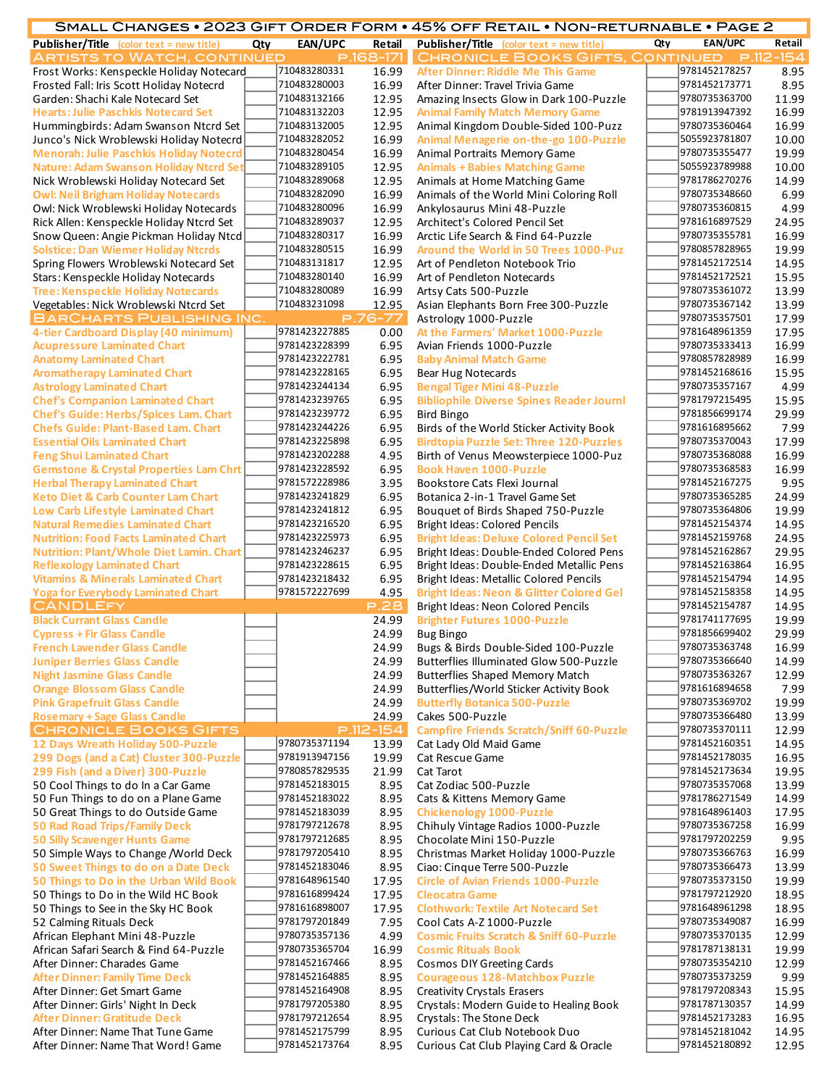|                                                                                     |     |                                |                | SMALL CHANGES • 2023 GIFT ORDER FORM • 45% OFF RETAIL • NON-RETURNABLE • PAGE 2            |     |                                |                |
|-------------------------------------------------------------------------------------|-----|--------------------------------|----------------|--------------------------------------------------------------------------------------------|-----|--------------------------------|----------------|
| <b>Publisher/Title</b> (color text = new title)                                     | Qty | <b>EAN/UPC</b>                 | Retail         | <b>Publisher/Title</b> (color text = new title)                                            | Qty | <b>EAN/UPC</b>                 | Retail         |
| <b>ARTISTS TO WATCH, CONTINUED</b>                                                  |     |                                | P.168-171      | <b>CHRONICLE BOOKS GIFTS, CONTINUED</b>                                                    |     |                                | P.112-154      |
| Frost Works: Kenspeckle Holiday Notecard                                            |     | 710483280331                   | 16.99          | After Dinner: Riddle Me This Game                                                          |     | 9781452178257                  | 8.95           |
| Frosted Fall: Iris Scott Holiday Notecrd                                            |     | 710483280003                   | 16.99          | After Dinner: Travel Trivia Game                                                           |     | 9781452173771                  | 8.95           |
| Garden: Shachi Kale Notecard Set                                                    |     | 710483132166                   | 12.95          | Amazing Insects Glow in Dark 100-Puzzle                                                    |     | 9780735363700                  | 11.99          |
| <b>Hearts: Julie Paschkis Notecard Set</b>                                          |     | 710483132203                   | 12.95          | <b>Animal Family Match Memory Game</b>                                                     |     | 9781913947392                  | 16.99          |
| Hummingbirds: Adam Swanson Ntcrd Set                                                |     | 710483132005<br>710483282052   | 12.95          | Animal Kingdom Double-Sided 100-Puzz                                                       |     | 9780735360464<br>5055923781807 | 16.99          |
| Junco's Nick Wroblewski Holiday Notecrd<br>Menorah: Julie Paschkis Holiday Notecrd  |     | 710483280454                   | 16.99<br>16.99 | Animal Menagerie on-the-go 100-Puzzle                                                      |     | 9780735355477                  | 10.00<br>19.99 |
| <b>Nature: Adam Swanson Holiday Ntcrd Set</b>                                       |     | 710483289105                   | 12.95          | Animal Portraits Memory Game<br><b>Animals + Babies Matching Game</b>                      |     | 5055923789988                  | 10.00          |
| Nick Wroblewski Holiday Notecard Set                                                |     | 710483289068                   | 12.95          | Animals at Home Matching Game                                                              |     | 9781786270276                  | 14.99          |
| <b>Owl: Neil Brigham Holiday Notecards</b>                                          |     | 710483282090                   | 16.99          | Animals of the World Mini Coloring Roll                                                    |     | 9780735348660                  | 6.99           |
| Owl: Nick Wroblewski Holiday Notecards                                              |     | 710483280096                   | 16.99          | Ankylosaurus Mini 48-Puzzle                                                                |     | 9780735360815                  | 4.99           |
| Rick Allen: Kenspeckle Holiday Ntcrd Set                                            |     | 710483289037                   | 12.95          | Architect's Colored Pencil Set                                                             |     | 9781616897529                  | 24.95          |
| Snow Queen: Angie Pickman Holiday Ntcd                                              |     | 710483280317                   | 16.99          | Arctic Life Search & Find 64-Puzzle                                                        |     | 9780735355781                  | 16.99          |
| <b>Solstice: Dan Wiemer Holiday Ntcrds</b>                                          |     | 710483280515                   | 16.99          | Around the World in 50 Trees 1000-Puz                                                      |     | 9780857828965                  | 19.99          |
| Spring Flowers Wroblewski Notecard Set                                              |     | 710483131817                   | 12.95          | Art of Pendleton Notebook Trio                                                             |     | 9781452172514                  | 14.95          |
| Stars: Kenspeckle Holiday Notecards                                                 |     | 710483280140                   | 16.99          | Art of Pendleton Notecards                                                                 |     | 9781452172521                  | 15.95          |
| <b>Tree: Kenspeckle Holiday Notecards</b>                                           |     | 710483280089                   | 16.99          | Artsy Cats 500-Puzzle                                                                      |     | 9780735361072                  | 13.99          |
| Vegetables: Nick Wroblewski Ntcrd Set                                               |     | 710483231098                   | 12.95          | Asian Elephants Born Free 300-Puzzle                                                       |     | 9780735367142                  | 13.99          |
| <b>BARCHARTS PUBLISHING INC.</b>                                                    |     |                                | $P.76 - 77$    | Astrology 1000-Puzzle                                                                      |     | 9780735357501                  | 17.99          |
| 4-tier Cardboard Display (40 minimum)                                               |     | 9781423227885                  | 0.00           | At the Farmers' Market 1000-Puzzle                                                         |     | 9781648961359                  | 17.95          |
| <b>Acupressure Laminated Chart</b>                                                  |     | 9781423228399                  | 6.95           | Avian Friends 1000-Puzzle                                                                  |     | 9780735333413                  | 16.99          |
| <b>Anatomy Laminated Chart</b>                                                      |     | 9781423222781                  | 6.95           | <b>Baby Animal Match Game</b>                                                              |     | 9780857828989                  | 16.99          |
| <b>Aromatherapy Laminated Chart</b>                                                 |     | 9781423228165                  | 6.95           | <b>Bear Hug Notecards</b>                                                                  |     | 9781452168616                  | 15.95          |
| <b>Astrology Laminated Chart</b>                                                    |     | 9781423244134                  | 6.95           | <b>Bengal Tiger Mini 48-Puzzle</b>                                                         |     | 9780735357167                  | 4.99           |
| <b>Chef's Companion Laminated Chart</b>                                             |     | 9781423239765                  | 6.95           | <b>Bibliophile Diverse Spines Reader Journl</b>                                            |     | 9781797215495                  | 15.95          |
| <b>Chef's Guide: Herbs/Spices Lam. Chart</b>                                        |     | 9781423239772<br>9781423244226 | 6.95           | <b>Bird Bingo</b>                                                                          |     | 9781856699174<br>9781616895662 | 29.99          |
| <b>Chefs Guide: Plant-Based Lam. Chart</b><br><b>Essential Oils Laminated Chart</b> |     | 9781423225898                  | 6.95<br>6.95   | Birds of the World Sticker Activity Book<br><b>Birdtopia Puzzle Set: Three 120-Puzzles</b> |     | 9780735370043                  | 7.99<br>17.99  |
| <b>Feng Shui Laminated Chart</b>                                                    |     | 9781423202288                  | 4.95           | Birth of Venus Meowsterpiece 1000-Puz                                                      |     | 9780735368088                  | 16.99          |
| <b>Gemstone &amp; Crystal Properties Lam Chrt</b>                                   |     | 9781423228592                  | 6.95           | <b>Book Haven 1000-Puzzle</b>                                                              |     | 9780735368583                  | 16.99          |
| <b>Herbal Therapy Laminated Chart</b>                                               |     | 9781572228986                  | 3.95           | Bookstore Cats Flexi Journal                                                               |     | 9781452167275                  | 9.95           |
| <b>Keto Diet &amp; Carb Counter Lam Chart</b>                                       |     | 9781423241829                  | 6.95           | Botanica 2-in-1 Travel Game Set                                                            |     | 9780735365285                  | 24.99          |
| Low Carb Lifestyle Laminated Chart                                                  |     | 9781423241812                  | 6.95           | Bouquet of Birds Shaped 750-Puzzle                                                         |     | 9780735364806                  | 19.99          |
| <b>Natural Remedies Laminated Chart</b>                                             |     | 9781423216520                  | 6.95           | <b>Bright Ideas: Colored Pencils</b>                                                       |     | 9781452154374                  | 14.95          |
| <b>Nutrition: Food Facts Laminated Chart</b>                                        |     | 9781423225973                  | 6.95           | <b>Bright Ideas: Deluxe Colored Pencil Set</b>                                             |     | 9781452159768                  | 24.95          |
| Nutrition: Plant/Whole Diet Lamin. Chart                                            |     | 9781423246237                  | 6.95           | Bright Ideas: Double-Ended Colored Pens                                                    |     | 9781452162867                  | 29.95          |
| <b>Reflexology Laminated Chart</b>                                                  |     | 9781423228615                  | 6.95           | Bright Ideas: Double-Ended Metallic Pens                                                   |     | 9781452163864                  | 16.95          |
| <b>Vitamins &amp; Minerals Laminated Chart</b>                                      |     | 9781423218432                  | 6.95           | <b>Bright Ideas: Metallic Colored Pencils</b>                                              |     | 9781452154794                  | 14.95          |
| <b>Yoga for Everybody Laminated Chart</b>                                           |     | 9781572227699                  | 4.95           | <b>Bright Ideas: Neon &amp; Glitter Colored Gel</b>                                        |     | 9781452158358                  | 14.95          |
| <b>CANDLEFY</b>                                                                     |     |                                | <b>P.28</b>    | Bright Ideas: Neon Colored Pencils                                                         |     | 9781452154787                  | 14.95          |
| <b>Black Currant Glass Candle</b>                                                   |     |                                | 24.99          | <b>Brighter Futures 1000-Puzzle</b>                                                        |     | 9781741177695                  | 19.99          |
| <b>Cypress + Fir Glass Candle</b>                                                   |     |                                | 24.99          | <b>Bug Bingo</b>                                                                           |     | 9781856699402                  | 29.99          |
| <b>French Lavender Glass Candle</b>                                                 |     |                                | 24.99          | Bugs & Birds Double-Sided 100-Puzzle                                                       |     | 9780735363748<br>9780735366640 | 16.99          |
| <b>Juniper Berries Glass Candle</b>                                                 |     |                                | 24.99<br>24.99 | Butterflies Illuminated Glow 500-Puzzle                                                    |     | 9780735363267                  | 14.99          |
| <b>Night Jasmine Glass Candle</b><br><b>Orange Blossom Glass Candle</b>             |     |                                | 24.99          | Butterflies Shaped Memory Match<br>Butterflies/World Sticker Activity Book                 |     | 9781616894658                  | 12.99<br>7.99  |
| <b>Pink Grapefruit Glass Candle</b>                                                 |     |                                | 24.99          | <b>Butterfly Botanica 500-Puzzle</b>                                                       |     | 9780735369702                  | 19.99          |
| <b>Rosemary + Sage Glass Candle</b>                                                 |     |                                | 24.99          | Cakes 500-Puzzle                                                                           |     | 9780735366480                  | 13.99          |
| <b>CHRONICLE BOOKS GIFTS</b>                                                        |     |                                | $P.112 - 154$  | <b>Campfire Friends Scratch/Sniff 60-Puzzle</b>                                            |     | 9780735370111                  | 12.99          |
| 12 Days Wreath Holiday 500-Puzzle                                                   |     | 9780735371194                  | 13.99          | Cat Lady Old Maid Game                                                                     |     | 9781452160351                  | 14.95          |
| 299 Dogs (and a Cat) Cluster 300-Puzzle                                             |     | 9781913947156                  | 19.99          | Cat Rescue Game                                                                            |     | 9781452178035                  | 16.95          |
| 299 Fish (and a Diver) 300-Puzzle                                                   |     | 9780857829535                  | 21.99          | Cat Tarot                                                                                  |     | 9781452173634                  | 19.95          |
| 50 Cool Things to do In a Car Game                                                  |     | 9781452183015                  | 8.95           | Cat Zodiac 500-Puzzle                                                                      |     | 9780735357068                  | 13.99          |
| 50 Fun Things to do on a Plane Game                                                 |     | 9781452183022                  | 8.95           | Cats & Kittens Memory Game                                                                 |     | 9781786271549                  | 14.99          |
| 50 Great Things to do Outside Game                                                  |     | 9781452183039                  | 8.95           | <b>Chickenology 1000-Puzzle</b>                                                            |     | 9781648961403                  | 17.95          |
| 50 Rad Road Trips/Family Deck                                                       |     | 9781797212678                  | 8.95           | Chihuly Vintage Radios 1000-Puzzle                                                         |     | 9780735367258                  | 16.99          |
| <b>50 Silly Scavenger Hunts Game</b>                                                |     | 9781797212685                  | 8.95           | Chocolate Mini 150-Puzzle                                                                  |     | 9781797202259                  | 9.95           |
| 50 Simple Ways to Change / World Deck                                               |     | 9781797205410                  | 8.95           | Christmas Market Holiday 1000-Puzzle                                                       |     | 9780735366763                  | 16.99          |
| 50 Sweet Things to do on a Date Deck                                                |     | 9781452183046<br>9781648961540 | 8.95           | Ciao: Cinque Terre 500-Puzzle                                                              |     | 9780735366473<br>9780735373150 | 13.99          |
| 50 Things to Do in the Urban Wild Book                                              |     | 9781616899424                  | 17.95<br>17.95 | <b>Circle of Avian Friends 1000-Puzzle</b><br><b>Cleocatra Game</b>                        |     | 9781797212920                  | 19.99<br>18.95 |
| 50 Things to Do in the Wild HC Book                                                 |     | 9781616898007                  | 17.95          | <b>Clothwork: Textile Art Notecard Set</b>                                                 |     | 9781648961298                  | 18.95          |
| 50 Things to See in the Sky HC Book<br>52 Calming Rituals Deck                      |     | 9781797201849                  | 7.95           | Cool Cats A-Z 1000-Puzzle                                                                  |     | 9780735349087                  | 16.99          |
| African Elephant Mini 48-Puzzle                                                     |     | 9780735357136                  | 4.99           | <b>Cosmic Fruits Scratch &amp; Sniff 60-Puzzle</b>                                         |     | 9780735370135                  | 12.99          |
| African Safari Search & Find 64-Puzzle                                              |     | 9780735365704                  | 16.99          | <b>Cosmic Rituals Book</b>                                                                 |     | 9781787138131                  | 19.99          |
| After Dinner: Charades Game                                                         |     | 9781452167466                  | 8.95           | <b>Cosmos DIY Greeting Cards</b>                                                           |     | 9780735354210                  | 12.99          |
| <b>After Dinner: Family Time Deck</b>                                               |     | 9781452164885                  | 8.95           | <b>Courageous 128-Matchbox Puzzle</b>                                                      |     | 9780735373259                  | 9.99           |
| After Dinner: Get Smart Game                                                        |     | 9781452164908                  | 8.95           | <b>Creativity Crystals Erasers</b>                                                         |     | 9781797208343                  | 15.95          |
| After Dinner: Girls' Night In Deck                                                  |     | 9781797205380                  | 8.95           | Crystals: Modern Guide to Healing Book                                                     |     | 9781787130357                  | 14.99          |
| <b>After Dinner: Gratitude Deck</b>                                                 |     | 9781797212654                  | 8.95           | Crystals: The Stone Deck                                                                   |     | 9781452173283                  | 16.95          |
| After Dinner: Name That Tune Game                                                   |     | 9781452175799                  | 8.95           | Curious Cat Club Notebook Duo                                                              |     | 9781452181042                  | 14.95          |
| After Dinner: Name That Word! Game                                                  |     | 9781452173764                  | 8.95           | Curious Cat Club Playing Card & Oracle                                                     |     | 9781452180892                  | 12.95          |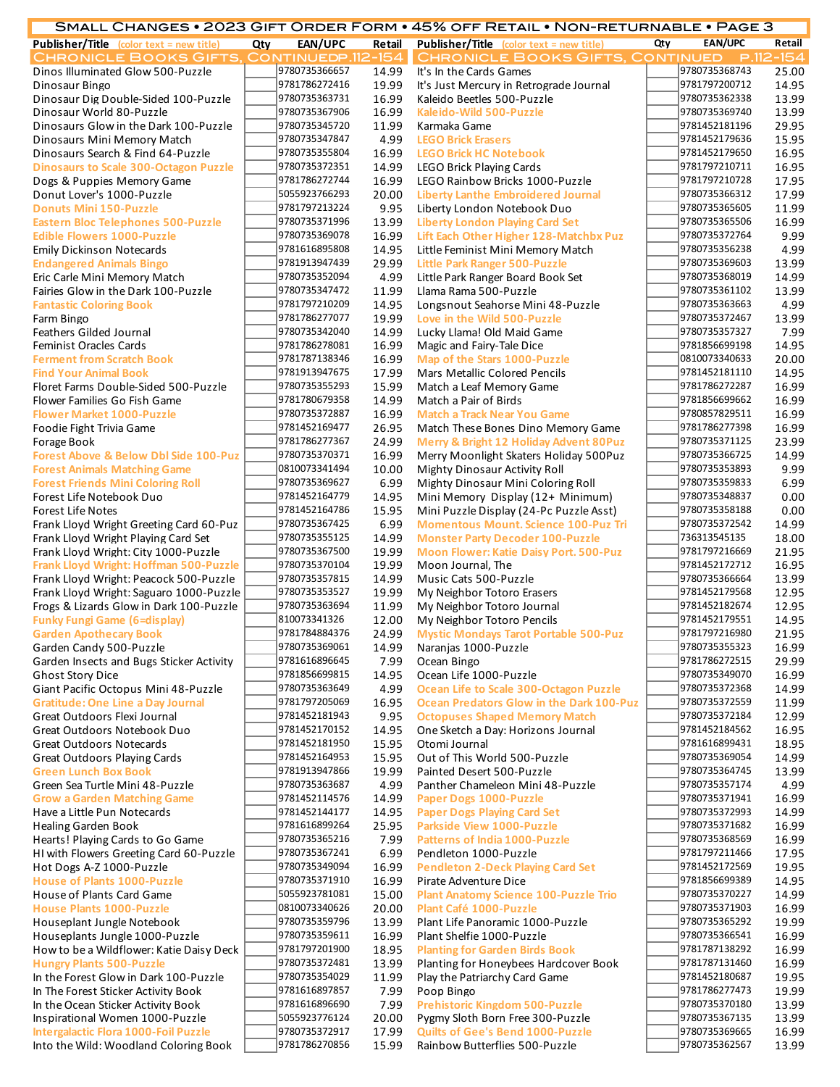|                                                                                  |     |                                |                | SMALL CHANGES • 2023 GIFT ORDER FORM • 45% OFF RETAIL • NON-RETURNABLE • PAGE 3    |     |                                |                |
|----------------------------------------------------------------------------------|-----|--------------------------------|----------------|------------------------------------------------------------------------------------|-----|--------------------------------|----------------|
| <b>Publisher/Title</b> (color text = new title)                                  | Qty | EAN/UPC                        | Retail         | <b>Publisher/Title</b> (color text = new title)                                    | Qty | <b>EAN/UPC</b>                 | Retail         |
| CHRONICLE BOOKS GIFTS, CONTINUEDP.112-154                                        |     |                                |                | <b>CHRONICLE BOOKS GIFTS, CONTINUED</b>                                            |     |                                | $P.112 - 154$  |
| Dinos Illuminated Glow 500-Puzzle                                                |     | 9780735366657                  | 14.99          | It's In the Cards Games                                                            |     | 9780735368743                  | 25.00          |
| Dinosaur Bingo                                                                   |     | 9781786272416                  | 19.99          | It's Just Mercury in Retrograde Journal                                            |     | 9781797200712                  | 14.95          |
| Dinosaur Dig Double-Sided 100-Puzzle                                             |     | 9780735363731                  | 16.99          | Kaleido Beetles 500-Puzzle                                                         |     | 9780735362338                  | 13.99          |
| Dinosaur World 80-Puzzle                                                         |     | 9780735367906                  | 16.99          | Kaleido-Wild 500-Puzzle                                                            |     | 9780735369740                  | 13.99          |
| Dinosaurs Glow in the Dark 100-Puzzle                                            |     | 9780735345720                  | 11.99          | Karmaka Game                                                                       |     | 9781452181196                  | 29.95          |
| Dinosaurs Mini Memory Match                                                      |     | 9780735347847                  | 4.99           | <b>LEGO Brick Erasers</b>                                                          |     | 9781452179636                  | 15.95          |
| Dinosaurs Search & Find 64-Puzzle                                                |     | 9780735355804                  | 16.99          | <b>LEGO Brick HC Notebook</b>                                                      |     | 9781452179650                  | 16.95          |
| <b>Dinosaurs to Scale 300-Octagon Puzzle</b>                                     |     | 9780735372351                  | 14.99          | <b>LEGO Brick Playing Cards</b>                                                    |     | 9781797210711                  | 16.95          |
| Dogs & Puppies Memory Game                                                       |     | 9781786272744                  | 16.99          | LEGO Rainbow Bricks 1000-Puzzle                                                    |     | 9781797210728                  | 17.95          |
| Donut Lover's 1000-Puzzle                                                        |     | 5055923766293                  | 20.00          | <b>Liberty Lanthe Embroidered Journal</b>                                          |     | 9780735366312                  | 17.99          |
| <b>Donuts Mini 150-Puzzle</b>                                                    |     | 9781797213224                  | 9.95           | Liberty London Notebook Duo                                                        |     | 9780735365605                  | 11.99          |
| <b>Eastern Bloc Telephones 500-Puzzle</b>                                        |     | 9780735371996                  | 13.99          | <b>Liberty London Playing Card Set</b>                                             |     | 9780735365506                  | 16.99          |
| <b>Edible Flowers 1000-Puzzle</b>                                                |     | 9780735369078<br>9781616895808 | 16.99<br>14.95 | Lift Each Other Higher 128-Matchbx Puz                                             |     | 9780735372764<br>9780735356238 | 9.99<br>4.99   |
| <b>Emily Dickinson Notecards</b><br><b>Endangered Animals Bingo</b>              |     | 9781913947439                  | 29.99          | Little Feminist Mini Memory Match<br><b>Little Park Ranger 500-Puzzle</b>          |     | 9780735369603                  | 13.99          |
| Eric Carle Mini Memory Match                                                     |     | 9780735352094                  | 4.99           | Little Park Ranger Board Book Set                                                  |     | 9780735368019                  | 14.99          |
| Fairies Glow in the Dark 100-Puzzle                                              |     | 9780735347472                  | 11.99          | Llama Rama 500-Puzzle                                                              |     | 9780735361102                  | 13.99          |
| <b>Fantastic Coloring Book</b>                                                   |     | 9781797210209                  | 14.95          | Longsnout Seahorse Mini 48-Puzzle                                                  |     | 9780735363663                  | 4.99           |
| Farm Bingo                                                                       |     | 9781786277077                  | 19.99          | Love in the Wild 500-Puzzle                                                        |     | 9780735372467                  | 13.99          |
| Feathers Gilded Journal                                                          |     | 9780735342040                  | 14.99          | Lucky Llama! Old Maid Game                                                         |     | 9780735357327                  | 7.99           |
| Feminist Oracles Cards                                                           |     | 9781786278081                  | 16.99          | Magic and Fairy-Tale Dice                                                          |     | 9781856699198                  | 14.95          |
| <b>Ferment from Scratch Book</b>                                                 |     | 9781787138346                  | 16.99          | Map of the Stars 1000-Puzzle                                                       |     | 0810073340633                  | 20.00          |
| <b>Find Your Animal Book</b>                                                     |     | 9781913947675                  | 17.99          | Mars Metallic Colored Pencils                                                      |     | 9781452181110                  | 14.95          |
| Floret Farms Double-Sided 500-Puzzle                                             |     | 9780735355293                  | 15.99          | Match a Leaf Memory Game                                                           |     | 9781786272287                  | 16.99          |
| Flower Families Go Fish Game                                                     |     | 9781780679358                  | 14.99          | Match a Pair of Birds                                                              |     | 9781856699662                  | 16.99          |
| <b>Flower Market 1000-Puzzle</b>                                                 |     | 9780735372887                  | 16.99          | <b>Match a Track Near You Game</b>                                                 |     | 9780857829511                  | 16.99          |
| Foodie Fight Trivia Game                                                         |     | 9781452169477                  | 26.95          | Match These Bones Dino Memory Game                                                 |     | 9781786277398                  | 16.99          |
| Forage Book                                                                      |     | 9781786277367                  | 24.99          | Merry & Bright 12 Holiday Advent 80Puz                                             |     | 9780735371125                  | 23.99          |
| <b>Forest Above &amp; Below Dbl Side 100-Puz</b>                                 |     | 9780735370371                  | 16.99          | Merry Moonlight Skaters Holiday 500Puz                                             |     | 9780735366725                  | 14.99          |
| <b>Forest Animals Matching Game</b>                                              |     | 0810073341494                  | 10.00          | <b>Mighty Dinosaur Activity Roll</b>                                               |     | 9780735353893                  | 9.99           |
| <b>Forest Friends Mini Coloring Roll</b>                                         |     | 9780735369627                  | 6.99           | Mighty Dinosaur Mini Coloring Roll                                                 |     | 9780735359833                  | 6.99           |
| Forest Life Notebook Duo                                                         |     | 9781452164779                  | 14.95          | Mini Memory Display (12+ Minimum)                                                  |     | 9780735348837                  | 0.00           |
| <b>Forest Life Notes</b>                                                         |     | 9781452164786                  | 15.95          | Mini Puzzle Display (24-Pc Puzzle Asst)                                            |     | 9780735358188                  | 0.00           |
| Frank Lloyd Wright Greeting Card 60-Puz                                          |     | 9780735367425                  | 6.99           | <b>Momentous Mount. Science 100-Puz Tri</b>                                        |     | 9780735372542                  | 14.99          |
| Frank Lloyd Wright Playing Card Set                                              |     | 9780735355125                  | 14.99          | <b>Monster Party Decoder 100-Puzzle</b>                                            |     | 736313545135                   | 18.00          |
| Frank Lloyd Wright: City 1000-Puzzle                                             |     | 9780735367500                  | 19.99          | Moon Flower: Katie Daisy Port. 500-Puz                                             |     | 9781797216669                  | 21.95          |
| Frank Lloyd Wright: Hoffman 500-Puzzle                                           |     | 9780735370104                  | 19.99          | Moon Journal, The                                                                  |     | 9781452172712                  | 16.95          |
| Frank Lloyd Wright: Peacock 500-Puzzle                                           |     | 9780735357815                  | 14.99          | Music Cats 500-Puzzle                                                              |     | 9780735366664                  | 13.99          |
| Frank Lloyd Wright: Saguaro 1000-Puzzle                                          |     | 9780735353527                  | 19.99          | My Neighbor Totoro Erasers                                                         |     | 9781452179568                  | 12.95          |
| Frogs & Lizards Glow in Dark 100-Puzzle                                          |     | 9780735363694                  | 11.99          | My Neighbor Totoro Journal                                                         |     | 9781452182674                  | 12.95          |
| <b>Funky Fungi Game (6=display)</b>                                              |     | 810073341326                   | 12.00          | My Neighbor Totoro Pencils                                                         |     | 9781452179551                  | 14.95          |
| <b>Garden Apothecary Book</b>                                                    |     | 9781784884376                  |                | 24.99 Mystic Mondays Tarot Portable 500-Puz                                        |     | 9781797216980                  | 21.95          |
| Garden Candy 500-Puzzle                                                          |     | 9780735369061                  | 14.99          | Naranjas 1000-Puzzle                                                               |     | 9780735355323<br>9781786272515 | 16.99          |
| Garden Insects and Bugs Sticker Activity                                         |     | 9781616896645<br>9781856699815 | 7.99           | Ocean Bingo                                                                        |     | 9780735349070                  | 29.99          |
| <b>Ghost Story Dice</b>                                                          |     | 9780735363649                  | 14.95<br>4.99  | Ocean Life 1000-Puzzle                                                             |     | 9780735372368                  | 16.99          |
| Giant Pacific Octopus Mini 48-Puzzle<br><b>Gratitude: One Line a Day Journal</b> |     | 9781797205069                  | 16.95          | Ocean Life to Scale 300-Octagon Puzzle<br>Ocean Predators Glow in the Dark 100-Puz |     | 9780735372559                  | 14.99<br>11.99 |
| Great Outdoors Flexi Journal                                                     |     | 9781452181943                  | 9.95           | <b>Octopuses Shaped Memory Match</b>                                               |     | 9780735372184                  | 12.99          |
| Great Outdoors Notebook Duo                                                      |     | 9781452170152                  | 14.95          | One Sketch a Day: Horizons Journal                                                 |     | 9781452184562                  | 16.95          |
| <b>Great Outdoors Notecards</b>                                                  |     | 9781452181950                  | 15.95          | Otomi Journal                                                                      |     | 9781616899431                  | 18.95          |
| <b>Great Outdoors Playing Cards</b>                                              |     | 9781452164953                  | 15.95          | Out of This World 500-Puzzle                                                       |     | 9780735369054                  | 14.99          |
| <b>Green Lunch Box Book</b>                                                      |     | 9781913947866                  | 19.99          | Painted Desert 500-Puzzle                                                          |     | 9780735364745                  | 13.99          |
| Green Sea Turtle Mini 48-Puzzle                                                  |     | 9780735363687                  | 4.99           | Panther Chameleon Mini 48-Puzzle                                                   |     | 9780735357174                  | 4.99           |
| <b>Grow a Garden Matching Game</b>                                               |     | 9781452114576                  | 14.99          | Paper Dogs 1000-Puzzle                                                             |     | 9780735371941                  | 16.99          |
| Have a Little Pun Notecards                                                      |     | 9781452144177                  | 14.95          | <b>Paper Dogs Playing Card Set</b>                                                 |     | 9780735372993                  | 14.99          |
| <b>Healing Garden Book</b>                                                       |     | 9781616899264                  | 25.95          | Parkside View 1000-Puzzle                                                          |     | 9780735371682                  | 16.99          |
| Hearts! Playing Cards to Go Game                                                 |     | 9780735365216                  | 7.99           | <b>Patterns of India 1000-Puzzle</b>                                               |     | 9780735368569                  | 16.99          |
| HI with Flowers Greeting Card 60-Puzzle                                          |     | 9780735367241                  | 6.99           | Pendleton 1000-Puzzle                                                              |     | 9781797211466                  | 17.95          |
| Hot Dogs A-Z 1000-Puzzle                                                         |     | 9780735349094                  | 16.99          | <b>Pendleton 2-Deck Playing Card Set</b>                                           |     | 9781452172569                  | 19.95          |
| <b>House of Plants 1000-Puzzle</b>                                               |     | 9780735371910                  | 16.99          | Pirate Adventure Dice                                                              |     | 9781856699389                  | 14.95          |
| House of Plants Card Game                                                        |     | 5055923781081                  | 15.00          | <b>Plant Anatomy Science 100-Puzzle Trio</b>                                       |     | 9780735370227                  | 14.99          |
| <b>House Plants 1000-Puzzle</b>                                                  |     | 0810073340626                  | 20.00          | Plant Café 1000-Puzzle                                                             |     | 9780735371903                  | 16.99          |
| Houseplant Jungle Notebook                                                       |     | 9780735359796                  | 13.99          | Plant Life Panoramic 1000-Puzzle                                                   |     | 9780735365292                  | 19.99          |
| Houseplants Jungle 1000-Puzzle                                                   |     | 9780735359611                  | 16.99          | Plant Shelfie 1000-Puzzle                                                          |     | 9780735366541                  | 16.99          |
| How to be a Wildflower: Katie Daisy Deck                                         |     | 9781797201900                  | 18.95          | <b>Planting for Garden Birds Book</b>                                              |     | 9781787138292                  | 16.99          |
| <b>Hungry Plants 500-Puzzle</b>                                                  |     | 9780735372481                  | 13.99          | Planting for Honeybees Hardcover Book                                              |     | 9781787131460                  | 16.99          |
| In the Forest Glow in Dark 100-Puzzle                                            |     | 9780735354029                  | 11.99          | Play the Patriarchy Card Game                                                      |     | 9781452180687                  | 19.95          |
| In The Forest Sticker Activity Book                                              |     | 9781616897857                  | 7.99           | Poop Bingo                                                                         |     | 9781786277473                  | 19.99          |
| In the Ocean Sticker Activity Book                                               |     | 9781616896690                  | 7.99           | <b>Prehistoric Kingdom 500-Puzzle</b>                                              |     | 9780735370180                  | 13.99          |
| Inspirational Women 1000-Puzzle                                                  |     | 5055923776124<br>9780735372917 | 20.00<br>17.99 | Pygmy Sloth Born Free 300-Puzzle                                                   |     | 9780735367135<br>9780735369665 | 13.99<br>16.99 |
| <b>Intergalactic Flora 1000-Foil Puzzle</b>                                      |     |                                |                | Quilts of Gee's Bend 1000-Puzzle                                                   |     |                                |                |

Into the Wild: Woodland Coloring Book 9781786270856 15.99 Rainbow Butterflies 500-Puzzle 9780735362567 13.99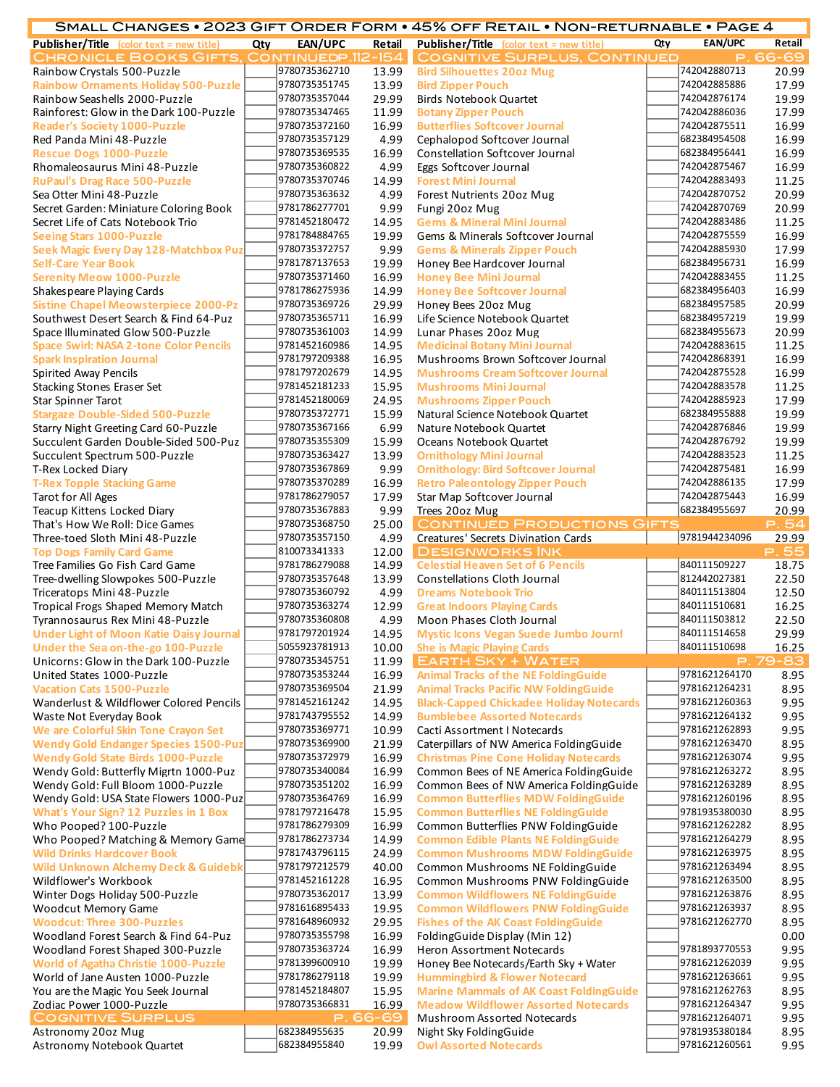|                                                                                |     |                                |                   | SMALL CHANGES • 2023 GIFT ORDER FORM • 45% OFF RETAIL • NON-RETURNABLE • PAGE 4  |     |                                |                |
|--------------------------------------------------------------------------------|-----|--------------------------------|-------------------|----------------------------------------------------------------------------------|-----|--------------------------------|----------------|
| <b>Publisher/Title</b> (color text = new title)                                | Qty | EAN/UPC                        | Retail            | Publisher/Title (color text = new title)                                         | Qty | <b>EAN/UPC</b>                 | Retail         |
| CHRONICLE BOOKS GIFTS, CONTINUEDP.112-154                                      |     |                                |                   | <b>COGNITIVE SURPLUS, CONTINUED</b>                                              |     | Р.                             | 66-69          |
| Rainbow Crystals 500-Puzzle                                                    |     | 9780735362710                  | 13.99             | <b>Bird Silhouettes 20oz Mug</b>                                                 |     | 742042880713                   | 20.99          |
| <b>Rainbow Ornaments Holiday 500-Puzzle</b>                                    |     | 9780735351745                  | 13.99             | <b>Bird Zipper Pouch</b>                                                         |     | 742042885886                   | 17.99          |
| Rainbow Seashells 2000-Puzzle                                                  |     | 9780735357044<br>9780735347465 | 29.99<br>11.99    | <b>Birds Notebook Quartet</b>                                                    |     | 742042876174<br>742042886036   | 19.99<br>17.99 |
| Rainforest: Glow in the Dark 100-Puzzle<br><b>Reader's Society 1000-Puzzle</b> |     | 9780735372160                  | 16.99             | <b>Botany Zipper Pouch</b><br><b>Butterflies Softcover Journal</b>               |     | 742042875511                   | 16.99          |
| Red Panda Mini 48-Puzzle                                                       |     | 9780735357129                  | 4.99              | Cephalopod Softcover Journal                                                     |     | 682384954508                   | 16.99          |
| <b>Rescue Dogs 1000-Puzzle</b>                                                 |     | 9780735369535                  | 16.99             | Constellation Softcover Journal                                                  |     | 682384956441                   | 16.99          |
| Rhomaleosaurus Mini 48-Puzzle                                                  |     | 9780735360822                  | 4.99              | Eggs Softcover Journal                                                           |     | 742042875467                   | 16.99          |
| <b>RuPaul's Drag Race 500-Puzzle</b>                                           |     | 9780735370746                  | 14.99             | <b>Forest Mini Journal</b>                                                       |     | 742042883493                   | 11.25          |
| Sea Otter Mini 48-Puzzle                                                       |     | 9780735363632                  | 4.99              | Forest Nutrients 20oz Mug                                                        |     | 742042870752                   | 20.99          |
| Secret Garden: Miniature Coloring Book                                         |     | 9781786277701                  | 9.99              | Fungi 20oz Mug                                                                   |     | 742042870769                   | 20.99          |
| Secret Life of Cats Notebook Trio                                              |     | 9781452180472                  | 14.95             | <b>Gems &amp; Mineral Mini Journal</b>                                           |     | 742042883486                   | 11.25          |
| Seeing Stars 1000-Puzzle                                                       |     | 9781784884765<br>9780735372757 | 19.99             | Gems & Minerals Softcover Journal                                                |     | 742042875559<br>742042885930   | 16.99          |
| Seek Magic Every Day 128-Matchbox Puz<br><b>Self-Care Year Book</b>            |     | 9781787137653                  | 9.99<br>19.99     | <b>Gems &amp; Minerals Zipper Pouch</b><br>Honey Bee Hardcover Journal           |     | 682384956731                   | 17.99<br>16.99 |
| <b>Serenity Meow 1000-Puzzle</b>                                               |     | 9780735371460                  | 16.99             | <b>Honey Bee Mini Journal</b>                                                    |     | 742042883455                   | 11.25          |
| Shakespeare Playing Cards                                                      |     | 9781786275936                  | 14.99             | <b>Honey Bee Softcover Journal</b>                                               |     | 682384956403                   | 16.99          |
| <b>Sistine Chapel Meowsterpiece 2000-Pz</b>                                    |     | 9780735369726                  | 29.99             | Honey Bees 20oz Mug                                                              |     | 682384957585                   | 20.99          |
| Southwest Desert Search & Find 64-Puz                                          |     | 9780735365711                  | 16.99             | Life Science Notebook Quartet                                                    |     | 682384957219                   | 19.99          |
| Space Illuminated Glow 500-Puzzle                                              |     | 9780735361003                  | 14.99             | Lunar Phases 20oz Mug                                                            |     | 682384955673                   | 20.99          |
| <b>Space Swirl: NASA 2-tone Color Pencils</b>                                  |     | 9781452160986                  | 14.95             | <b>Medicinal Botany Mini Journal</b>                                             |     | 742042883615                   | 11.25          |
| <b>Spark Inspiration Journal</b>                                               |     | 9781797209388                  | 16.95             | Mushrooms Brown Softcover Journal                                                |     | 742042868391                   | 16.99          |
| Spirited Away Pencils                                                          |     | 9781797202679                  | 14.95             | <b>Mushrooms Cream Softcover Journal</b>                                         |     | 742042875528                   | 16.99          |
| <b>Stacking Stones Eraser Set</b>                                              |     | 9781452181233                  | 15.95             | <b>Mushrooms Mini Journal</b>                                                    |     | 742042883578                   | 11.25          |
| <b>Star Spinner Tarot</b>                                                      |     | 9781452180069                  | 24.95             | <b>Mushrooms Zipper Pouch</b>                                                    |     | 742042885923                   | 17.99          |
| <b>Stargaze Double-Sided 500-Puzzle</b>                                        |     | 9780735372771                  | 15.99             | Natural Science Notebook Quartet                                                 |     | 682384955888                   | 19.99          |
| Starry Night Greeting Card 60-Puzzle                                           |     | 9780735367166                  | 6.99              | Nature Notebook Quartet                                                          |     | 742042876846                   | 19.99          |
| Succulent Garden Double-Sided 500-Puz                                          |     | 9780735355309                  | 15.99             | Oceans Notebook Quartet                                                          |     | 742042876792                   | 19.99          |
| Succulent Spectrum 500-Puzzle                                                  |     | 9780735363427                  | 13.99             | <b>Ornithology Mini Journal</b>                                                  |     | 742042883523                   | 11.25          |
| T-Rex Locked Diary                                                             |     | 9780735367869                  | 9.99              | <b>Ornithology: Bird Softcover Journal</b>                                       |     | 742042875481                   | 16.99          |
| <b>T-Rex Topple Stacking Game</b>                                              |     | 9780735370289                  | 16.99             | <b>Retro Paleontology Zipper Pouch</b>                                           |     | 742042886135                   | 17.99          |
| Tarot for All Ages                                                             |     | 9781786279057                  | 17.99             | Star Map Softcover Journal                                                       |     | 742042875443                   | 16.99          |
| Teacup Kittens Locked Diary                                                    |     | 9780735367883<br>9780735368750 | 9.99              | Trees 20oz Mug                                                                   |     | 682384955697                   | 20.99          |
| That's How We Roll: Dice Games                                                 |     | 9780735357150                  | 25.00<br>4.99     | <b>CONTINUED PRODUCTIONS GIFTS</b>                                               |     | 9781944234096                  | P.54           |
| Three-toed Sloth Mini 48-Puzzle<br><b>Top Dogs Family Card Game</b>            |     | 810073341333                   | 12.00             | Creatures' Secrets Divination Cards<br><b>DESIGNWORKS INK</b>                    |     |                                | 29.99<br>P.55  |
| Tree Families Go Fish Card Game                                                |     | 9781786279088                  | 14.99             | <b>Celestial Heaven Set of 6 Pencils</b>                                         |     | 840111509227                   | 18.75          |
| Tree-dwelling Slowpokes 500-Puzzle                                             |     | 9780735357648                  | 13.99             | <b>Constellations Cloth Journal</b>                                              |     | 812442027381                   | 22.50          |
| Triceratops Mini 48-Puzzle                                                     |     | 9780735360792                  | 4.99              | <b>Dreams Notebook Trio</b>                                                      |     | 840111513804                   | 12.50          |
| Tropical Frogs Shaped Memory Match                                             |     | 9780735363274                  | 12.99             | <b>Great Indoors Playing Cards</b>                                               |     | 840111510681                   | 16.25          |
| Tyrannosaurus Rex Mini 48-Puzzle                                               |     | 9780735360808                  | 4.99              | Moon Phases Cloth Journal                                                        |     | 840111503812                   | 22.50          |
| <b>Under Light of Moon Katie Daisy Journal</b>                                 |     | 9781797201924                  |                   | 14.95 Mystic Icons Vegan Suede Jumbo Journl                                      |     | 840111514658                   | 29.99          |
| Under the Sea on-the-go 100-Puzzle                                             |     | 5055923781913                  | 10.00             | <b>She is Magic Playing Cards</b>                                                |     | 840111510698                   | 16.25          |
| Unicorns: Glow in the Dark 100-Puzzle                                          |     | 9780735345751                  | 11.99             | <b>EARTH SKY + WATER</b>                                                         |     |                                | P.79-83        |
| United States 1000-Puzzle                                                      |     | 9780735353244                  | 16.99             | <b>Animal Tracks of the NE FoldingGuide</b>                                      |     | 9781621264170                  | 8.95           |
| <b>Vacation Cats 1500-Puzzle</b>                                               |     | 9780735369504                  | 21.99             | <b>Animal Tracks Pacific NW FoldingGuide</b>                                     |     | 9781621264231                  | 8.95           |
| Wanderlust & Wildflower Colored Pencils                                        |     | 9781452161242                  | 14.95             | <b>Black-Capped Chickadee Holiday Notecards</b>                                  |     | 9781621260363                  | 9.95           |
| Waste Not Everyday Book                                                        |     | 9781743795552                  | 14.99             | <b>Bumblebee Assorted Notecards</b>                                              |     | 9781621264132                  | 9.95           |
| We are Colorful Skin Tone Crayon Set                                           |     | 9780735369771                  | 10.99             | Cacti Assortment I Notecards                                                     |     | 9781621262893                  | 9.95           |
| <b>Wendy Gold Endanger Species 1500-Puz</b>                                    |     | 9780735369900<br>9780735372979 | 21.99             | Caterpillars of NW America FoldingGuide                                          |     | 9781621263470<br>9781621263074 | 8.95           |
| <b>Wendy Gold State Birds 1000-Puzzle</b>                                      |     | 9780735340084                  | 16.99<br>16.99    | <b>Christmas Pine Cone Holiday Notecards</b>                                     |     | 9781621263272                  | 9.95<br>8.95   |
| Wendy Gold: Butterfly Migrtn 1000-Puz<br>Wendy Gold: Full Bloom 1000-Puzzle    |     | 9780735351202                  | 16.99             | Common Bees of NE America FoldingGuide<br>Common Bees of NW America FoldingGuide |     | 9781621263289                  | 8.95           |
| Wendy Gold: USA State Flowers 1000-Puz                                         |     | 9780735364769                  | 16.99             | <b>Common Butterflies MDW FoldingGuide</b>                                       |     | 9781621260196                  | 8.95           |
| <b>What's Your Sign? 12 Puzzles in 1 Box</b>                                   |     | 9781797216478                  | 15.95             | <b>Common Butterflies NE FoldingGuide</b>                                        |     | 9781935380030                  | 8.95           |
| Who Pooped? 100-Puzzle                                                         |     | 9781786279309                  | 16.99             | Common Butterflies PNW FoldingGuide                                              |     | 9781621262282                  | 8.95           |
| Who Pooped? Matching & Memory Game                                             |     | 9781786273734                  | 14.99             | <b>Common Edible Plants NE FoldingGuide</b>                                      |     | 9781621264279                  | 8.95           |
| <b>Wild Drinks Hardcover Book</b>                                              |     | 9781743796115                  | 24.99             | <b>Common Mushrooms MDW FoldingGuide</b>                                         |     | 9781621263975                  | 8.95           |
| <b>Wild Unknown Alchemy Deck &amp; Guidebk</b>                                 |     | 9781797212579                  | 40.00             | Common Mushrooms NE FoldingGuide                                                 |     | 9781621263494                  | 8.95           |
| Wildflower's Workbook                                                          |     | 9781452161228                  | 16.95             | Common Mushrooms PNW FoldingGuide                                                |     | 9781621263500                  | 8.95           |
| Winter Dogs Holiday 500-Puzzle                                                 |     | 9780735362017                  | 13.99             | <b>Common Wildflowers NE FoldingGuide</b>                                        |     | 9781621263876                  | 8.95           |
| <b>Woodcut Memory Game</b>                                                     |     | 9781616895433                  | 19.95             | <b>Common Wildflowers PNW FoldingGuide</b>                                       |     | 9781621263937                  | 8.95           |
| <b>Woodcut: Three 300-Puzzles</b>                                              |     | 9781648960932                  | 29.95             | <b>Fishes of the AK Coast FoldingGuide</b>                                       |     | 9781621262770                  | 8.95           |
| Woodland Forest Search & Find 64-Puz                                           |     | 9780735355798                  | 16.99             | FoldingGuide Display (Min 12)                                                    |     |                                | 0.00           |
| Woodland Forest Shaped 300-Puzzle                                              |     | 9780735363724                  | 16.99             | Heron Assortment Notecards                                                       |     | 9781893770553                  | 9.95           |
| <b>World of Agatha Christie 1000-Puzzle</b>                                    |     | 9781399600910                  | 19.99             | Honey Bee Notecards/Earth Sky + Water                                            |     | 9781621262039                  | 9.95           |
| World of Jane Austen 1000-Puzzle                                               |     | 9781786279118                  | 19.99             | <b>Hummingbird &amp; Flower Notecard</b>                                         |     | 9781621263661                  | 9.95           |
| You are the Magic You Seek Journal                                             |     | 9781452184807                  | 15.95             | <b>Marine Mammals of AK Coast FoldingGuide</b>                                   |     | 9781621262763                  | 8.95           |
| Zodiac Power 1000-Puzzle                                                       |     | 9780735366831                  | 16.99             | <b>Meadow Wildflower Assorted Notecards</b>                                      |     | 9781621264347<br>9781621264071 | 9.95           |
| <b>COGNITIVE SURPLUS</b><br>Astronomy 20oz Mug                                 |     | 682384955635                   | P. 66-69<br>20.99 | Mushroom Assorted Notecards<br>Night Sky FoldingGuide                            |     | 9781935380184                  | 9.95<br>8.95   |
| Astronomy Notebook Quartet                                                     |     | 682384955840                   | 19.99             | <b>Owl Assorted Notecards</b>                                                    |     | 9781621260561                  | 9.95           |
|                                                                                |     |                                |                   |                                                                                  |     |                                |                |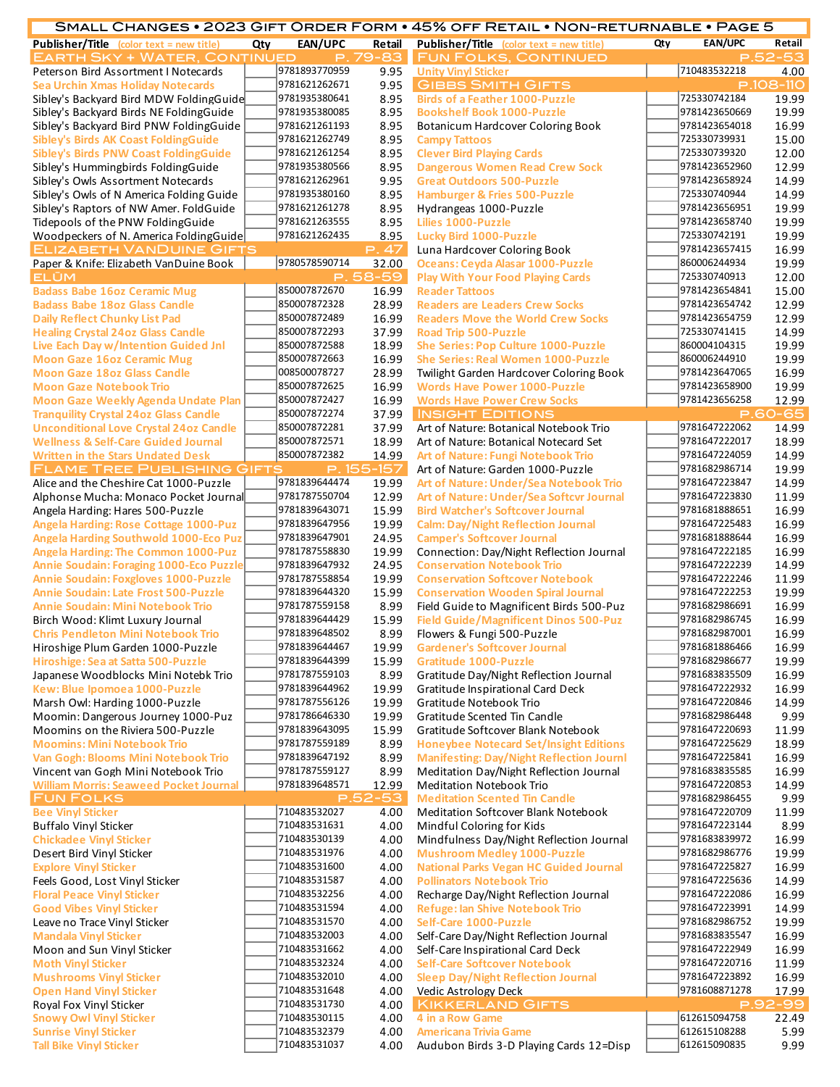|                                                 |     |               |             | SMALL CHANGES • 2023 GIFT ORDER FORM • 45% OFF RETAIL • NON-RETURNABLE • PAGE 5    |     |                |            |
|-------------------------------------------------|-----|---------------|-------------|------------------------------------------------------------------------------------|-----|----------------|------------|
| <b>Publisher/Title</b> (color text = new title) | Qty | EAN/UPC       | Retail      | <b>Publisher/Title</b> (color text = new title)                                    | Qty | <b>EAN/UPC</b> | Retail     |
| <b>EARTH SKY + WATER, CONTINUED</b>             |     |               | P. 79-83    | <b>FUN FOLKS, CONTINUED</b>                                                        |     |                | P.52<br>53 |
| Peterson Bird Assortment I Notecards            |     | 9781893770959 | 9.95        | <b>Unity Vinyl Sticker</b>                                                         |     | 710483532218   | 4.00       |
| Sea Urchin Xmas Holiday Notecards               |     | 9781621262671 | 9.95        | <b>GIBBS SMITH GIFTS</b>                                                           |     |                | P.108-110  |
| Sibley's Backyard Bird MDW FoldingGuide         |     | 9781935380641 | 8.95        | <b>Birds of a Feather 1000-Puzzle</b>                                              |     | 725330742184   | 19.99      |
| Sibley's Backyard Birds NE FoldingGuide         |     | 9781935380085 | 8.95        | <b>Bookshelf Book 1000-Puzzle</b>                                                  |     | 9781423650669  | 19.99      |
| Sibley's Backyard Bird PNW FoldingGuide         |     | 9781621261193 | 8.95        | Botanicum Hardcover Coloring Book                                                  |     | 9781423654018  | 16.99      |
| Sibley's Birds AK Coast FoldingGuide            |     | 9781621262749 | 8.95        | <b>Campy Tattoos</b>                                                               |     | 725330739931   | 15.00      |
| Sibley's Birds PNW Coast FoldingGuide           |     | 9781621261254 | 8.95        | <b>Clever Bird Playing Cards</b>                                                   |     | 725330739320   | 12.00      |
| Sibley's Hummingbirds FoldingGuide              |     | 9781935380566 | 8.95        | <b>Dangerous Women Read Crew Sock</b>                                              |     | 9781423652960  | 12.99      |
| Sibley's Owls Assortment Notecards              |     | 9781621262961 | 9.95        | <b>Great Outdoors 500-Puzzle</b>                                                   |     | 9781423658924  | 14.99      |
| Sibley's Owls of N America Folding Guide        |     | 9781935380160 | 8.95        | <b>Hamburger &amp; Fries 500-Puzzle</b>                                            |     | 725330740944   | 14.99      |
| Sibley's Raptors of NW Amer. FoldGuide          |     | 9781621261278 | 8.95        | Hydrangeas 1000-Puzzle                                                             |     | 9781423656951  | 19.99      |
| Tidepools of the PNW FoldingGuide               |     | 9781621263555 | 8.95        | <b>Lilies 1000-Puzzle</b>                                                          |     | 9781423658740  | 19.99      |
|                                                 |     | 9781621262435 |             |                                                                                    |     | 725330742191   |            |
| Woodpeckers of N. America FoldingGuide          |     |               | 8.95        | <b>Lucky Bird 1000-Puzzle</b>                                                      |     |                | 19.99      |
| <b>ELIZABETH VANDUINE GIFTS</b>                 |     |               | P.47        | Luna Hardcover Coloring Book                                                       |     | 9781423657415  | 16.99      |
| Paper & Knife: Elizabeth VanDuine Book          |     | 9780578590714 | 32.00       | Oceans: Ceyda Alasar 1000-Puzzle                                                   |     | 860006244934   | 19.99      |
| <b>ELUM</b>                                     |     |               | $P.58 - 59$ | <b>Play With Your Food Playing Cards</b>                                           |     | 725330740913   | 12.00      |
| <b>Badass Babe 16oz Ceramic Mug</b>             |     | 850007872670  | 16.99       | <b>Reader Tattoos</b>                                                              |     | 9781423654841  | 15.00      |
| <b>Badass Babe 18oz Glass Candle</b>            |     | 850007872328  | 28.99       | <b>Readers are Leaders Crew Socks</b>                                              |     | 9781423654742  | 12.99      |
| <b>Daily Reflect Chunky List Pad</b>            |     | 850007872489  | 16.99       | <b>Readers Move the World Crew Socks</b>                                           |     | 9781423654759  | 12.99      |
| <b>Healing Crystal 24oz Glass Candle</b>        |     | 850007872293  | 37.99       | <b>Road Trip 500-Puzzle</b>                                                        |     | 725330741415   | 14.99      |
| Live Each Day w/Intention Guided Jnl            |     | 850007872588  | 18.99       | She Series: Pop Culture 1000-Puzzle                                                |     | 860004104315   | 19.99      |
| <b>Moon Gaze 16oz Ceramic Mug</b>               |     | 850007872663  | 16.99       | She Series: Real Women 1000-Puzzle                                                 |     | 860006244910   | 19.99      |
| <b>Moon Gaze 18oz Glass Candle</b>              |     | 008500078727  | 28.99       | Twilight Garden Hardcover Coloring Book                                            |     | 9781423647065  | 16.99      |
| <b>Moon Gaze Notebook Trio</b>                  |     | 850007872625  | 16.99       | <b>Words Have Power 1000-Puzzle</b>                                                |     | 9781423658900  | 19.99      |
| Moon Gaze Weekly Agenda Undate Plan             |     | 850007872427  | 16.99       | <b>Words Have Power Crew Socks</b>                                                 |     | 9781423656258  | 12.99      |
| <b>Tranquility Crystal 24oz Glass Candle</b>    |     | 850007872274  | 37.99       | <b>INSIGHT EDITIONS</b>                                                            |     |                | P.60-65    |
| <b>Unconditional Love Crystal 24oz Candle</b>   |     | 850007872281  | 37.99       | Art of Nature: Botanical Notebook Trio                                             |     | 9781647222062  | 14.99      |
| <b>Wellness &amp; Self-Care Guided Journal</b>  |     | 850007872571  | 18.99       | Art of Nature: Botanical Notecard Set                                              |     | 9781647222017  | 18.99      |
| <b>Written in the Stars Undated Desk</b>        |     | 850007872382  | 14.99       | <b>Art of Nature: Fungi Notebook Trio</b>                                          |     | 9781647224059  | 14.99      |
| <b>FLAME TREE PUBLISHING GIFTS</b>              |     |               | P. 155-157  | Art of Nature: Garden 1000-Puzzle                                                  |     | 9781682986714  | 19.99      |
| Alice and the Cheshire Cat 1000-Puzzle          |     | 9781839644474 | 19.99       | Art of Nature: Under/Sea Notebook Trio                                             |     | 9781647223847  | 14.99      |
| Alphonse Mucha: Monaco Pocket Journal           |     | 9781787550704 | 12.99       | Art of Nature: Under/Sea Softcvr Journal                                           |     | 9781647223830  | 11.99      |
|                                                 |     | 9781839643071 |             |                                                                                    |     | 9781681888651  |            |
| Angela Harding: Hares 500-Puzzle                |     | 9781839647956 | 15.99       | <b>Bird Watcher's Softcover Journal</b>                                            |     | 9781647225483  | 16.99      |
| Angela Harding: Rose Cottage 1000-Puz           |     |               | 19.99       | <b>Calm: Day/Night Reflection Journal</b>                                          |     |                | 16.99      |
| Angela Harding Southwold 1000-Eco Puz           |     | 9781839647901 | 24.95       | <b>Camper's Softcover Journal</b>                                                  |     | 9781681888644  | 16.99      |
| Angela Harding: The Common 1000-Puz             |     | 9781787558830 | 19.99       | Connection: Day/Night Reflection Journal                                           |     | 9781647222185  | 16.99      |
| Annie Soudain: Foraging 1000-Eco Puzzle         |     | 9781839647932 | 24.95       | <b>Conservation Notebook Trio</b>                                                  |     | 9781647222239  | 14.99      |
| <b>Annie Soudain: Foxgloves 1000-Puzzle</b>     |     | 9781787558854 | 19.99       | <b>Conservation Softcover Notebook</b>                                             |     | 9781647222246  | 11.99      |
| Annie Soudain: Late Frost 500-Puzzle            |     | 9781839644320 | 15.99       | <b>Conservation Wooden Spiral Journal</b>                                          |     | 9781647222253  | 19.99      |
| <b>Annie Soudain: Mini Notebook Trio</b>        |     | 9781787559158 | 8.99        | Field Guide to Magnificent Birds 500-Puz                                           |     | 9781682986691  | 16.99      |
| Birch Wood: Klimt Luxury Journal                |     | 9781839644429 | 15.99       | <b>Field Guide/Magnificent Dinos 500-Puz</b>                                       |     | 9781682986745  | 16.99      |
| <b>Chris Pendleton Mini Notebook Trio</b>       |     | 9781839648502 | 8.99        | Flowers & Fungi 500-Puzzle                                                         |     | 9781682987001  | 16.99      |
| Hiroshige Plum Garden 1000-Puzzle               |     | 9781839644467 | 19.99       | <b>Gardener's Softcover Journal</b>                                                |     | 9781681886466  | 16.99      |
| Hiroshige: Sea at Satta 500-Puzzle              |     | 9781839644399 | 15.99       | Gratitude 1000-Puzzle                                                              |     | 9781682986677  | 19.99      |
| Japanese Woodblocks Mini Notebk Trio            |     | 9781787559103 | 8.99        | Gratitude Day/Night Reflection Journal                                             |     | 9781683835509  | 16.99      |
| Kew: Blue Ipomoea 1000-Puzzle                   |     | 9781839644962 | 19.99       | Gratitude Inspirational Card Deck                                                  |     | 9781647222932  | 16.99      |
| Marsh Owl: Harding 1000-Puzzle                  |     | 9781787556126 | 19.99       | Gratitude Notebook Trio                                                            |     | 9781647220846  | 14.99      |
| Moomin: Dangerous Journey 1000-Puz              |     | 9781786646330 | 19.99       | Gratitude Scented Tin Candle                                                       |     | 9781682986448  | 9.99       |
| Moomins on the Riviera 500-Puzzle               |     | 9781839643095 | 15.99       | Gratitude Softcover Blank Notebook                                                 |     | 9781647220693  | 11.99      |
| <b>Moomins: Mini Notebook Trio</b>              |     | 9781787559189 | 8.99        | <b>Honeybee Notecard Set/Insight Editions</b>                                      |     | 9781647225629  | 18.99      |
| Van Gogh: Blooms Mini Notebook Trio             |     | 9781839647192 | 8.99        | <b>Manifesting: Day/Night Reflection Journl</b>                                    |     | 9781647225841  | 16.99      |
| Vincent van Gogh Mini Notebook Trio             |     | 9781787559127 | 8.99        | Meditation Day/Night Reflection Journal                                            |     | 9781683835585  | 16.99      |
| <b>William Morris: Seaweed Pocket Journal</b>   |     | 9781839648571 | 12.99       | <b>Meditation Notebook Trio</b>                                                    |     | 9781647220853  | 14.99      |
|                                                 |     |               | $P.52 - 53$ |                                                                                    |     | 9781682986455  | 9.99       |
| <b>FUN FOLKS</b>                                |     | 710483532027  |             | <b>Meditation Scented Tin Candle</b><br><b>Meditation Softcover Blank Notebook</b> |     | 9781647220709  | 11.99      |
| <b>Bee Vinyl Sticker</b>                        |     |               | 4.00        |                                                                                    |     |                |            |
| <b>Buffalo Vinyl Sticker</b>                    |     | 710483531631  | 4.00        | Mindful Coloring for Kids                                                          |     | 9781647223144  | 8.99       |
| <b>Chickadee Vinyl Sticker</b>                  |     | 710483530139  | 4.00        | Mindfulness Day/Night Reflection Journal                                           |     | 9781683839972  | 16.99      |
| Desert Bird Vinyl Sticker                       |     | 710483531976  | 4.00        | <b>Mushroom Medley 1000-Puzzle</b>                                                 |     | 9781682986776  | 19.99      |
| <b>Explore Vinyl Sticker</b>                    |     | 710483531600  | 4.00        | <b>National Parks Vegan HC Guided Journal</b>                                      |     | 9781647225827  | 16.99      |
| Feels Good, Lost Vinyl Sticker                  |     | 710483531587  | 4.00        | <b>Pollinators Notebook Trio</b>                                                   |     | 9781647225636  | 14.99      |
| <b>Floral Peace Vinyl Sticker</b>               |     | 710483532256  | 4.00        | Recharge Day/Night Reflection Journal                                              |     | 9781647222086  | 16.99      |
| <b>Good Vibes Vinyl Sticker</b>                 |     | 710483531594  | 4.00        | <b>Refuge: Ian Shive Notebook Trio</b>                                             |     | 9781647223991  | 14.99      |
| Leave no Trace Vinyl Sticker                    |     | 710483531570  | 4.00        | Self-Care 1000-Puzzle                                                              |     | 9781682986752  | 19.99      |
| <b>Mandala Vinyl Sticker</b>                    |     | 710483532003  | 4.00        | Self-Care Day/Night Reflection Journal                                             |     | 9781683835547  | 16.99      |
| Moon and Sun Vinyl Sticker                      |     | 710483531662  | 4.00        | Self-Care Inspirational Card Deck                                                  |     | 9781647222949  | 16.99      |
| <b>Moth Vinyl Sticker</b>                       |     | 710483532324  | 4.00        | <b>Self-Care Softcover Notebook</b>                                                |     | 9781647220716  | 11.99      |
| <b>Mushrooms Vinyl Sticker</b>                  |     | 710483532010  | 4.00        | <b>Sleep Day/Night Reflection Journal</b>                                          |     | 9781647223892  | 16.99      |
| <b>Open Hand Vinyl Sticker</b>                  |     | 710483531648  | 4.00        | <b>Vedic Astrology Deck</b>                                                        |     | 9781608871278  | 17.99      |
| Royal Fox Vinyl Sticker                         |     | 710483531730  | 4.00        | <b>KIKKERLAND GIFTS</b>                                                            |     |                | P.92-99    |
| <b>Snowy Owl Vinyl Sticker</b>                  |     | 710483530115  | 4.00        | 4 in a Row Game                                                                    |     | 612615094758   | 22.49      |
| <b>Sunrise Vinyl Sticker</b>                    |     | 710483532379  | 4.00        | <b>Americana Trivia Game</b>                                                       |     | 612615108288   | 5.99       |
| <b>Tall Bike Vinyl Sticker</b>                  |     | 710483531037  | 4.00        | Audubon Birds 3-D Playing Cards 12=Disp                                            |     | 612615090835   | 9.99       |
|                                                 |     |               |             |                                                                                    |     |                |            |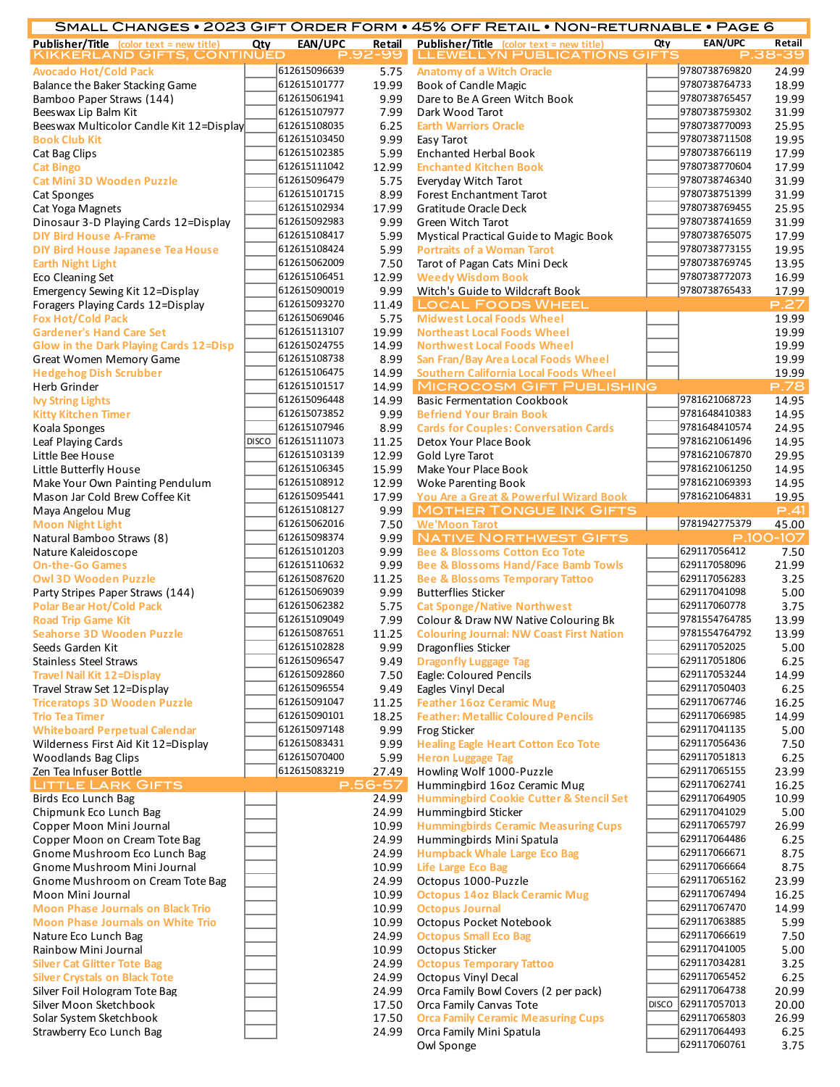|                                                 |     |                    |         | SMALL CHANGES • 2023 GIFT ORDER FORM • 45% OFF RETAIL • NON-RETURNABLE • PAGE 6 |     |                    |           |
|-------------------------------------------------|-----|--------------------|---------|---------------------------------------------------------------------------------|-----|--------------------|-----------|
| <b>Publisher/Title</b> (color text = new title) | Qty | <b>EAN/UPC</b>     | Retail  | <b>Publisher/Title</b> (color text = new title)                                 | Qty | <b>EAN/UPC</b>     | Retail    |
| KIKKERLAND GIFTS, CONTINUED                     |     |                    | P.92-99 | <b>LLEWELLYN PUBLICATIONS GIFTS</b>                                             |     |                    | P.38-39   |
| <b>Avocado Hot/Cold Pack</b>                    |     | 612615096639       | 5.75    | <b>Anatomy of a Witch Oracle</b>                                                |     | 9780738769820      | 24.99     |
| Balance the Baker Stacking Game                 |     | 612615101777       | 19.99   | <b>Book of Candle Magic</b>                                                     |     | 9780738764733      | 18.99     |
| Bamboo Paper Straws (144)                       |     | 612615061941       | 9.99    | Dare to Be A Green Witch Book                                                   |     | 9780738765457      | 19.99     |
| Beeswax Lip Balm Kit                            |     | 612615107977       | 7.99    | Dark Wood Tarot                                                                 |     | 9780738759302      | 31.99     |
| Beeswax Multicolor Candle Kit 12=Display        |     | 612615108035       | 6.25    | <b>Earth Warriors Oracle</b>                                                    |     | 9780738770093      | 25.95     |
| <b>Book Club Kit</b>                            |     | 612615103450       | 9.99    | Easy Tarot                                                                      |     | 9780738711508      | 19.95     |
| Cat Bag Clips                                   |     | 612615102385       | 5.99    | <b>Enchanted Herbal Book</b>                                                    |     | 9780738766119      | 17.99     |
| <b>Cat Bingo</b>                                |     | 612615111042       | 12.99   | <b>Enchanted Kitchen Book</b>                                                   |     | 9780738770604      | 17.99     |
| <b>Cat Mini 3D Wooden Puzzle</b>                |     | 612615096479       | 5.75    | Everyday Witch Tarot                                                            |     | 9780738746340      | 31.99     |
| <b>Cat Sponges</b>                              |     | 612615101715       | 8.99    | Forest Enchantment Tarot                                                        |     | 9780738751399      | 31.99     |
| Cat Yoga Magnets                                |     | 612615102934       | 17.99   | Gratitude Oracle Deck                                                           |     | 9780738769455      | 25.95     |
| Dinosaur 3-D Playing Cards 12=Display           |     | 612615092983       | 9.99    | Green Witch Tarot                                                               |     | 9780738741659      | 31.99     |
| <b>DIY Bird House A-Frame</b>                   |     | 612615108417       | 5.99    | Mystical Practical Guide to Magic Book                                          |     | 9780738765075      | 17.99     |
| <b>DIY Bird House Japanese Tea House</b>        |     | 612615108424       | 5.99    | <b>Portraits of a Woman Tarot</b>                                               |     | 9780738773155      | 19.95     |
| <b>Earth Night Light</b>                        |     | 612615062009       | 7.50    | Tarot of Pagan Cats Mini Deck                                                   |     | 9780738769745      | 13.95     |
|                                                 |     | 612615106451       |         |                                                                                 |     | 9780738772073      |           |
| Eco Cleaning Set                                |     | 612615090019       | 12.99   | <b>Weedy Wisdom Book</b>                                                        |     |                    | 16.99     |
| Emergency Sewing Kit 12=Display                 |     |                    | 9.99    | Witch's Guide to Wildcraft Book                                                 |     | 9780738765433      | 17.99     |
| Foragers Playing Cards 12=Display               |     | 612615093270       | 11.49   | <b>LOCAL FOODS WHEEL</b>                                                        |     |                    | P.27      |
| <b>Fox Hot/Cold Pack</b>                        |     | 612615069046       | 5.75    | <b>Midwest Local Foods Wheel</b>                                                |     |                    | 19.99     |
| <b>Gardener's Hand Care Set</b>                 |     | 612615113107       | 19.99   | <b>Northeast Local Foods Wheel</b>                                              |     |                    | 19.99     |
| Glow in the Dark Playing Cards 12=Disp          |     | 612615024755       | 14.99   | <b>Northwest Local Foods Wheel</b>                                              |     |                    | 19.99     |
| <b>Great Women Memory Game</b>                  |     | 612615108738       | 8.99    | San Fran/Bay Area Local Foods Wheel                                             |     |                    | 19.99     |
| <b>Hedgehog Dish Scrubber</b>                   |     | 612615106475       | 14.99   | <b>Southern California Local Foods Wheel</b>                                    |     |                    | 19.99     |
| Herb Grinder                                    |     | 612615101517       | 14.99   | <b>MICROCOSM GIFT PUBLISHING</b>                                                |     |                    | P.78      |
| <b>Ivy String Lights</b>                        |     | 612615096448       | 14.99   | <b>Basic Fermentation Cookbook</b>                                              |     | 9781621068723      | 14.95     |
| <b>Kitty Kitchen Timer</b>                      |     | 612615073852       | 9.99    | <b>Befriend Your Brain Book</b>                                                 |     | 9781648410383      | 14.95     |
| Koala Sponges                                   |     | 612615107946       | 8.99    | <b>Cards for Couples: Conversation Cards</b>                                    |     | 9781648410574      | 24.95     |
| Leaf Playing Cards                              |     | DISCO 612615111073 | 11.25   | Detox Your Place Book                                                           |     | 9781621061496      | 14.95     |
| Little Bee House                                |     | 612615103139       | 12.99   | Gold Lyre Tarot                                                                 |     | 9781621067870      | 29.95     |
| Little Butterfly House                          |     | 612615106345       | 15.99   | Make Your Place Book                                                            |     | 9781621061250      | 14.95     |
| Make Your Own Painting Pendulum                 |     | 612615108912       | 12.99   | <b>Woke Parenting Book</b>                                                      |     | 9781621069393      | 14.95     |
| Mason Jar Cold Brew Coffee Kit                  |     | 612615095441       | 17.99   | You Are a Great & Powerful Wizard Book                                          |     | 9781621064831      | 19.95     |
| Maya Angelou Mug                                |     | 612615108127       | 9.99    | <b>MOTHER TONGUE INK GIFTS</b>                                                  |     |                    | P.41      |
| <b>Moon Night Light</b>                         |     | 612615062016       | 7.50    | <b>We'Moon Tarot</b>                                                            |     | 9781942775379      | 45.00     |
| Natural Bamboo Straws (8)                       |     | 612615098374       | 9.99    | <b>NATIVE NORTHWEST GIFTS</b>                                                   |     |                    | P.100-107 |
| Nature Kaleidoscope                             |     | 612615101203       | 9.99    | <b>Bee &amp; Blossoms Cotton Eco Tote</b>                                       |     | 629117056412       | 7.50      |
| <b>On-the-Go Games</b>                          |     | 612615110632       | 9.99    | <b>Bee &amp; Blossoms Hand/Face Bamb Towls</b>                                  |     | 629117058096       | 21.99     |
| <b>Owl 3D Wooden Puzzle</b>                     |     | 612615087620       | 11.25   | <b>Bee &amp; Blossoms Temporary Tattoo</b>                                      |     | 629117056283       | 3.25      |
|                                                 |     | 612615069039       | 9.99    | <b>Butterflies Sticker</b>                                                      |     | 629117041098       | 5.00      |
| Party Stripes Paper Straws (144)                |     | 612615062382       |         |                                                                                 |     | 629117060778       |           |
| <b>Polar Bear Hot/Cold Pack</b>                 |     |                    | 5.75    | <b>Cat Sponge/Native Northwest</b>                                              |     |                    | 3.75      |
| <b>Road Trip Game Kit</b>                       |     | 612615109049       | 7.99    | Colour & Draw NW Native Colouring Bk                                            |     | 9781554764785      | 13.99     |
| Seahorse 3D Wooden Puzzle                       |     | 612615087651       |         | 11.25 Colouring Journal: NW Coast First Nation                                  |     | 9781554764792      | 13.99     |
| Seeds Garden Kit                                |     | 612615102828       | 9.99    | <b>Dragonflies Sticker</b>                                                      |     | 629117052025       | 5.00      |
| <b>Stainless Steel Straws</b>                   |     | 612615096547       | 9.49    | <b>Dragonfly Luggage Tag</b>                                                    |     | 629117051806       | 6.25      |
| Travel Nail Kit 12=Display                      |     | 612615092860       | 7.50    | Eagle: Coloured Pencils                                                         |     | 629117053244       | 14.99     |
| Travel Straw Set 12=Display                     |     | 612615096554       | 9.49    | Eagles Vinyl Decal                                                              |     | 629117050403       | 6.25      |
| <b>Triceratops 3D Wooden Puzzle</b>             |     | 612615091047       | 11.25   | <b>Feather 16oz Ceramic Mug</b>                                                 |     | 629117067746       | 16.25     |
| <b>Trio Tea Timer</b>                           |     | 612615090101       | 18.25   | <b>Feather: Metallic Coloured Pencils</b>                                       |     | 629117066985       | 14.99     |
| <b>Whiteboard Perpetual Calendar</b>            |     | 612615097148       | 9.99    | Frog Sticker                                                                    |     | 629117041135       | 5.00      |
| Wilderness First Aid Kit 12=Display             |     | 612615083431       | 9.99    | <b>Healing Eagle Heart Cotton Eco Tote</b>                                      |     | 629117056436       | 7.50      |
| <b>Woodlands Bag Clips</b>                      |     | 612615070400       | 5.99    | <b>Heron Luggage Tag</b>                                                        |     | 629117051813       | 6.25      |
| Zen Tea Infuser Bottle                          |     | 612615083219       | 27.49   | Howling Wolf 1000-Puzzle                                                        |     | 629117065155       | 23.99     |
| <b>LITTLE LARK GIFTS</b>                        |     |                    | P.56-57 | Hummingbird 16oz Ceramic Mug                                                    |     | 629117062741       | 16.25     |
| Birds Eco Lunch Bag                             |     |                    | 24.99   | <b>Hummingbird Cookie Cutter &amp; Stencil Set</b>                              |     | 629117064905       | 10.99     |
| Chipmunk Eco Lunch Bag                          |     |                    | 24.99   | Hummingbird Sticker                                                             |     | 629117041029       | 5.00      |
| Copper Moon Mini Journal                        |     |                    | 10.99   | <b>Hummingbirds Ceramic Measuring Cups</b>                                      |     | 629117065797       | 26.99     |
| Copper Moon on Cream Tote Bag                   |     |                    | 24.99   | Hummingbirds Mini Spatula                                                       |     | 629117064486       | 6.25      |
| Gnome Mushroom Eco Lunch Bag                    |     |                    | 24.99   | <b>Humpback Whale Large Eco Bag</b>                                             |     | 629117066671       | 8.75      |
| Gnome Mushroom Mini Journal                     |     |                    | 10.99   | <b>Life Large Eco Bag</b>                                                       |     | 629117066664       | 8.75      |
| Gnome Mushroom on Cream Tote Bag                |     |                    | 24.99   | Octopus 1000-Puzzle                                                             |     | 629117065162       | 23.99     |
| Moon Mini Journal                               |     |                    | 10.99   | <b>Octopus 14oz Black Ceramic Mug</b>                                           |     | 629117067494       | 16.25     |
| <b>Moon Phase Journals on Black Trio</b>        |     |                    | 10.99   | <b>Octopus Journal</b>                                                          |     | 629117067470       | 14.99     |
|                                                 |     |                    |         |                                                                                 |     | 629117063885       |           |
| <b>Moon Phase Journals on White Trio</b>        |     |                    | 10.99   | Octopus Pocket Notebook                                                         |     |                    | 5.99      |
| Nature Eco Lunch Bag                            |     |                    | 24.99   | <b>Octopus Small Eco Bag</b>                                                    |     | 629117066619       | 7.50      |
| Rainbow Mini Journal                            |     |                    | 10.99   | Octopus Sticker                                                                 |     | 629117041005       | 5.00      |
| <b>Silver Cat Glitter Tote Bag</b>              |     |                    | 24.99   | <b>Octopus Temporary Tattoo</b>                                                 |     | 629117034281       | 3.25      |
| <b>Silver Crystals on Black Tote</b>            |     |                    | 24.99   | <b>Octopus Vinyl Decal</b>                                                      |     | 629117065452       | 6.25      |
| Silver Foil Hologram Tote Bag                   |     |                    | 24.99   | Orca Family Bowl Covers (2 per pack)                                            |     | 629117064738       | 20.99     |
| Silver Moon Sketchbook                          |     |                    | 17.50   | Orca Family Canvas Tote                                                         |     | DISCO 629117057013 | 20.00     |
| Solar System Sketchbook                         |     |                    | 17.50   | <b>Orca Family Ceramic Measuring Cups</b>                                       |     | 629117065803       | 26.99     |
| Strawberry Eco Lunch Bag                        |     |                    | 24.99   | Orca Family Mini Spatula                                                        |     | 629117064493       | 6.25      |
|                                                 |     |                    |         | Owl Sponge                                                                      |     | 629117060761       | 3.75      |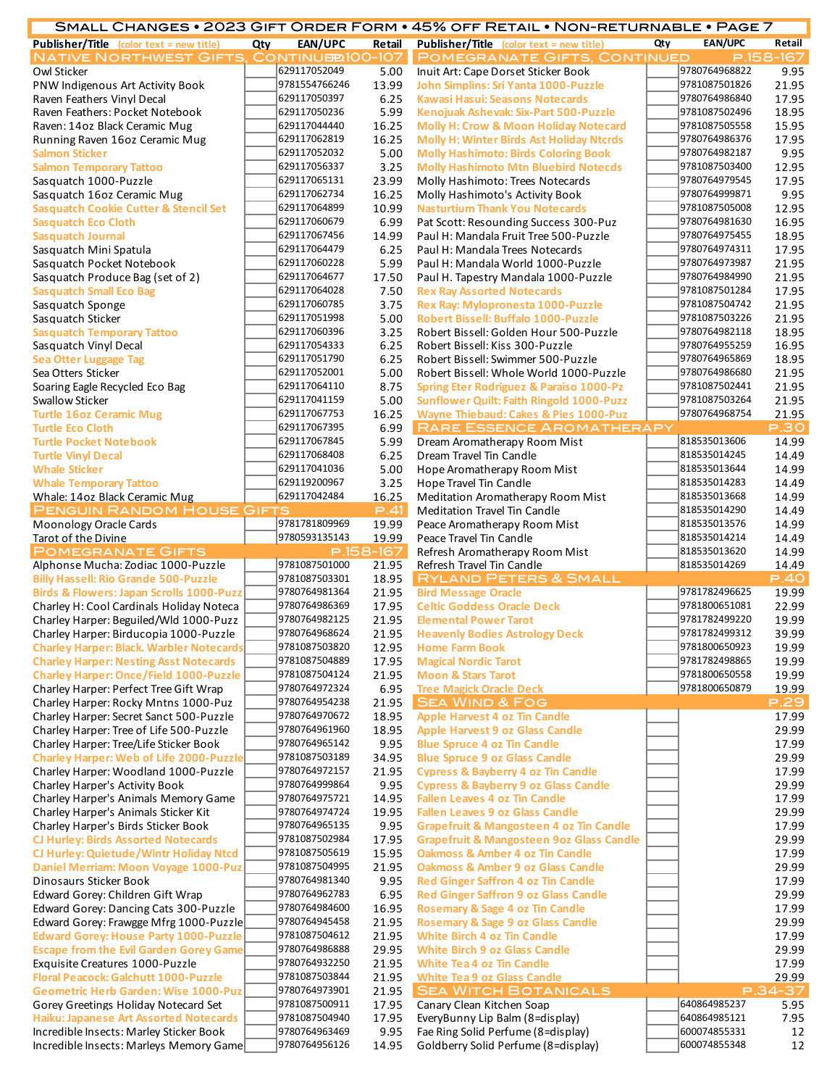|                                                                                           |     |                                |                | SMALL CHANGES • 2023 GIFT ORDER FORM • 45% OFF RETAIL • NON-RETURNABLE • PAGE 7                |     |                                |                |
|-------------------------------------------------------------------------------------------|-----|--------------------------------|----------------|------------------------------------------------------------------------------------------------|-----|--------------------------------|----------------|
| <b>Publisher/Title</b> (color text = new title)                                           | Qty | EAN/UPC                        | <b>Retail</b>  | <b>Publisher/Title</b> (color text = new title)                                                | Qty | <b>EAN/UPC</b>                 | Retail         |
| <b>NATIVE NORTHWEST GIFTS, CONTINUE 200-107</b>                                           |     |                                |                | <b>POMEGRANATE GIFTS, CONTINUED</b>                                                            |     |                                | P.158-167      |
| Owl Sticker                                                                               |     | 629117052049                   | 5.00           | Inuit Art: Cape Dorset Sticker Book                                                            |     | 9780764968822                  | 9.95           |
| PNW Indigenous Art Activity Book                                                          |     | 9781554766246                  | 13.99          | John Simplins: Sri Yanta 1000-Puzzle                                                           |     | 9781087501826                  | 21.95          |
| Raven Feathers Vinyl Decal                                                                |     | 629117050397                   | 6.25           | <b>Kawasi Hasui: Seasons Notecards</b>                                                         |     | 9780764986840                  | 17.95          |
| Raven Feathers: Pocket Notebook                                                           |     | 629117050236                   | 5.99           | Kenojuak Ashevak: Six-Part 500-Puzzle                                                          |     | 9781087502496                  | 18.95          |
| Raven: 14oz Black Ceramic Mug                                                             |     | 629117044440<br>629117062819   | 16.25<br>16.25 | <b>Molly H: Crow &amp; Moon Holiday Notecard</b>                                               |     | 9781087505558<br>9780764986376 | 15.95<br>17.95 |
| Running Raven 16oz Ceramic Mug<br><b>Salmon Sticker</b>                                   |     | 629117052032                   | 5.00           | <b>Molly H: Winter Birds Ast Holiday Ntcrds</b><br><b>Molly Hashimoto: Birds Coloring Book</b> |     | 9780764982187                  | 9.95           |
| <b>Salmon Temporary Tattoo</b>                                                            |     | 629117056337                   | 3.25           | <b>Molly Hashimoto Mtn Bluebird Notecds</b>                                                    |     | 9781087503400                  | 12.95          |
| Sasquatch 1000-Puzzle                                                                     |     | 629117065131                   | 23.99          | Molly Hashimoto: Trees Notecards                                                               |     | 9780764979545                  | 17.95          |
| Sasquatch 16oz Ceramic Mug                                                                |     | 629117062734                   | 16.25          | Molly Hashimoto's Activity Book                                                                |     | 9780764999871                  | 9.95           |
| <b>Sasquatch Cookie Cutter &amp; Stencil Set</b>                                          |     | 629117064899                   | 10.99          | <b>Nasturtium Thank You Notecards</b>                                                          |     | 9781087505008                  | 12.95          |
| <b>Sasquatch Eco Cloth</b>                                                                |     | 629117060679                   | 6.99           | Pat Scott: Resounding Success 300-Puz                                                          |     | 9780764981630                  | 16.95          |
| <b>Sasquatch Journal</b>                                                                  |     | 629117067456                   | 14.99          | Paul H: Mandala Fruit Tree 500-Puzzle                                                          |     | 9780764975455                  | 18.95          |
| Sasquatch Mini Spatula                                                                    |     | 629117064479                   | 6.25           | Paul H: Mandala Trees Notecards                                                                |     | 9780764974311                  | 17.95          |
| Sasquatch Pocket Notebook                                                                 |     | 629117060228                   | 5.99           | Paul H: Mandala World 1000-Puzzle                                                              |     | 9780764973987                  | 21.95          |
| Sasquatch Produce Bag (set of 2)                                                          |     | 629117064677                   | 17.50          | Paul H. Tapestry Mandala 1000-Puzzle                                                           |     | 9780764984990                  | 21.95          |
| <b>Sasquatch Small Eco Bag</b>                                                            |     | 629117064028                   | 7.50           | <b>Rex Ray Assorted Notecards</b>                                                              |     | 9781087501284                  | 17.95          |
| Sasquatch Sponge                                                                          |     | 629117060785                   | 3.75           | Rex Ray: Mylopronesta 1000-Puzzle                                                              |     | 9781087504742                  | 21.95          |
| Sasquatch Sticker                                                                         |     | 629117051998                   | 5.00           | Robert Bissell: Buffalo 1000-Puzzle                                                            |     | 9781087503226                  | 21.95          |
| <b>Sasquatch Temporary Tattoo</b>                                                         |     | 629117060396                   | 3.25           | Robert Bissell: Golden Hour 500-Puzzle                                                         |     | 9780764982118                  | 18.95          |
| Sasquatch Vinyl Decal                                                                     |     | 629117054333                   | 6.25           | Robert Bissell: Kiss 300-Puzzle                                                                |     | 9780764955259                  | 16.95          |
| <b>Sea Otter Luggage Tag</b>                                                              |     | 629117051790                   | 6.25           | Robert Bissell: Swimmer 500-Puzzle                                                             |     | 9780764965869                  | 18.95          |
| Sea Otters Sticker                                                                        |     | 629117052001<br>629117064110   | 5.00           | Robert Bissell: Whole World 1000-Puzzle                                                        |     | 9780764986680<br>9781087502441 | 21.95<br>21.95 |
| Soaring Eagle Recycled Eco Bag                                                            |     | 629117041159                   | 8.75<br>5.00   | <b>Spring Eter Rodriguez &amp; Paraiso 1000-Pz</b>                                             |     | 9781087503264                  |                |
| <b>Swallow Sticker</b><br><b>Turtle 16oz Ceramic Mug</b>                                  |     | 629117067753                   | 16.25          | <b>Sunflower Quilt: Faith Ringold 1000-Puzz</b><br>Wayne Thiebaud: Cakes & Pies 1000-Puz       |     | 9780764968754                  | 21.95<br>21.95 |
| <b>Turtle Eco Cloth</b>                                                                   |     | 629117067395                   | 6.99           | <b>RARE ESSENCE AROMATHERAPY</b>                                                               |     |                                | <b>P.30</b>    |
| <b>Turtle Pocket Notebook</b>                                                             |     | 629117067845                   | 5.99           | Dream Aromatherapy Room Mist                                                                   |     | 818535013606                   | 14.99          |
| <b>Turtle Vinyl Decal</b>                                                                 |     | 629117068408                   | 6.25           | Dream Travel Tin Candle                                                                        |     | 818535014245                   | 14.49          |
| <b>Whale Sticker</b>                                                                      |     | 629117041036                   | 5.00           | Hope Aromatherapy Room Mist                                                                    |     | 818535013644                   | 14.99          |
| <b>Whale Temporary Tattoo</b>                                                             |     | 629119200967                   | 3.25           | Hope Travel Tin Candle                                                                         |     | 818535014283                   | 14.49          |
| Whale: 14oz Black Ceramic Mug                                                             |     | 629117042484                   | 16.25          | Meditation Aromatherapy Room Mist                                                              |     | 818535013668                   | 14.99          |
| <b>PENGUIN RANDOM HOUSE GIFTS</b>                                                         |     |                                | P.41           | <b>Meditation Travel Tin Candle</b>                                                            |     | 818535014290                   | 14.49          |
| <b>Moonology Oracle Cards</b>                                                             |     | 9781781809969                  | 19.99          | Peace Aromatherapy Room Mist                                                                   |     | 818535013576                   | 14.99          |
| Tarot of the Divine                                                                       |     | 9780593135143                  | 19.99          | Peace Travel Tin Candle                                                                        |     | 818535014214                   | 14.49          |
| <b>POMEGRANATE GIFTS</b>                                                                  |     |                                | P.158-167      | Refresh Aromatherapy Room Mist                                                                 |     | 818535013620                   | 14.99          |
| Alphonse Mucha: Zodiac 1000-Puzzle                                                        |     | 9781087501000                  | 21.95          | Refresh Travel Tin Candle                                                                      |     | 818535014269                   | 14.49          |
| <b>Billy Hassell: Rio Grande 500-Puzzle</b>                                               |     | 9781087503301                  | 18.95          | <b>RYLAND PETERS &amp; SMALL</b>                                                               |     |                                | P.40           |
| <b>Birds &amp; Flowers: Japan Scrolls 1000-Puzz</b>                                       |     | 9780764981364                  | 21.95          | <b>Bird Message Oracle</b>                                                                     |     | 9781782496625                  | 19.99          |
| Charley H: Cool Cardinals Holiday Noteca                                                  |     | 9780764986369                  | 17.95          | <b>Celtic Goddess Oracle Deck</b>                                                              |     | 9781800651081                  | 22.99          |
| Charley Harper: Beguiled/Wld 1000-Puzz                                                    |     | 9780764982125<br>9780764968624 | 21.95<br>21.95 | <b>Elemental Power Tarot</b>                                                                   |     | 9781782499220<br>9781782499312 | 19.99<br>39.99 |
| Charley Harper: Birducopia 1000-Puzzle<br><b>Charley Harper: Black. Warbler Notecards</b> |     | 9781087503820                  |                | <b>Heavenly Bodies Astrology Deck</b>                                                          |     | 9781800650923                  | 19.99          |
| <b>Charley Harper: Nesting Asst Notecards</b>                                             |     | 9781087504889                  | 12.95<br>17.95 | <b>Home Farm Book</b><br><b>Magical Nordic Tarot</b>                                           |     | 9781782498865                  | 19.99          |
| <b>Charley Harper: Once/Field 1000-Puzzle</b>                                             |     | 9781087504124                  | 21.95          | <b>Moon &amp; Stars Tarot</b>                                                                  |     | 9781800650558                  | 19.99          |
| Charley Harper: Perfect Tree Gift Wrap                                                    |     | 9780764972324                  | 6.95           | <b>Tree Magick Oracle Deck</b>                                                                 |     | 9781800650879                  | 19.99          |
| Charley Harper: Rocky Mntns 1000-Puz                                                      |     | 9780764954238                  | 21.95          | <b>SEA WIND &amp; FOG</b>                                                                      |     |                                | P.29           |
| Charley Harper: Secret Sanct 500-Puzzle                                                   |     | 9780764970672                  | 18.95          | <b>Apple Harvest 4 oz Tin Candle</b>                                                           |     |                                | 17.99          |
| Charley Harper: Tree of Life 500-Puzzle                                                   |     | 9780764961960                  | 18.95          | <b>Apple Harvest 9 oz Glass Candle</b>                                                         |     |                                | 29.99          |
| Charley Harper: Tree/Life Sticker Book                                                    |     | 9780764965142                  | 9.95           | <b>Blue Spruce 4 oz Tin Candle</b>                                                             |     |                                | 17.99          |
| <b>Charley Harper: Web of Life 2000-Puzzle</b>                                            |     | 9781087503189                  | 34.95          | <b>Blue Spruce 9 oz Glass Candle</b>                                                           |     |                                | 29.99          |
| Charley Harper: Woodland 1000-Puzzle                                                      |     | 9780764972157                  | 21.95          | <b>Cypress &amp; Bayberry 4 oz Tin Candle</b>                                                  |     |                                | 17.99          |
| Charley Harper's Activity Book                                                            |     | 9780764999864                  | 9.95           | <b>Cypress &amp; Bayberry 9 oz Glass Candle</b>                                                |     |                                | 29.99          |
| Charley Harper's Animals Memory Game                                                      |     | 9780764975721                  | 14.95          | <b>Fallen Leaves 4 oz Tin Candle</b>                                                           |     |                                | 17.99          |
| Charley Harper's Animals Sticker Kit                                                      |     | 9780764974724                  | 19.95          | <b>Fallen Leaves 9 oz Glass Candle</b>                                                         |     |                                | 29.99          |
| Charley Harper's Birds Sticker Book                                                       |     | 9780764965135                  | 9.95           | <b>Grapefruit &amp; Mangosteen 4 oz Tin Candle</b>                                             |     |                                | 17.99          |
| <b>CJ Hurley: Birds Assorted Notecards</b>                                                |     | 9781087502984<br>9781087505619 | 17.95          | <b>Grapefruit &amp; Mangosteen 9oz Glass Candle</b>                                            |     |                                | 29.99          |
| <b>CJ Hurley: Quietude/Wintr Holiday Ntcd</b>                                             |     | 9781087504995                  | 15.95<br>21.95 | <b>Oakmoss &amp; Amber 4 oz Tin Candle</b><br><b>Oakmoss &amp; Amber 9 oz Glass Candle</b>     |     |                                | 17.99<br>29.99 |
| Daniel Merriam: Moon Voyage 1000-Puz<br>Dinosaurs Sticker Book                            |     | 9780764981340                  | 9.95           | <b>Red Ginger Saffron 4 oz Tin Candle</b>                                                      |     |                                | 17.99          |
| Edward Gorey: Children Gift Wrap                                                          |     | 9780764962783                  | 6.95           | <b>Red Ginger Saffron 9 oz Glass Candle</b>                                                    |     |                                | 29.99          |
| Edward Gorey: Dancing Cats 300-Puzzle                                                     |     | 9780764984600                  | 16.95          | Rosemary & Sage 4 oz Tin Candle                                                                |     |                                | 17.99          |
| Edward Gorey: Frawgge Mfrg 1000-Puzzle                                                    |     | 9780764945458                  | 21.95          | Rosemary & Sage 9 oz Glass Candle                                                              |     |                                | 29.99          |
| <b>Edward Gorey: House Party 1000-Puzzle</b>                                              |     | 9781087504612                  | 21.95          | <b>White Birch 4 oz Tin Candle</b>                                                             |     |                                | 17.99          |
| <b>Escape from the Evil Garden Gorey Game</b>                                             |     | 9780764986888                  | 29.95          | <b>White Birch 9 oz Glass Candle</b>                                                           |     |                                | 29.99          |
| Exquisite Creatures 1000-Puzzle                                                           |     | 9780764932250                  | 21.95          | <b>White Tea 4 oz Tin Candle</b>                                                               |     |                                | 17.99          |
| <b>Floral Peacock: Galchutt 1000-Puzzle</b>                                               |     | 9781087503844                  | 21.95          | <b>White Tea 9 oz Glass Candle</b>                                                             |     |                                | 29.99          |
| <b>Geometric Herb Garden: Wise 1000-Puz</b>                                               |     | 9780764973901                  | 21.95          | <b>SEA WITCH BOTANICALS</b>                                                                    |     |                                | P.34-37        |
| Gorey Greetings Holiday Notecard Set                                                      |     | 9781087500911                  | 17.95          | Canary Clean Kitchen Soap                                                                      |     | 640864985237                   | 5.95           |
| Haiku: Japanese Art Assorted Notecards                                                    |     | 9781087504940                  | 17.95          | EveryBunny Lip Balm (8=display)                                                                |     | 640864985121                   | 7.95           |
| Incredible Insects: Marley Sticker Book                                                   |     | 9780764963469                  | 9.95           | Fae Ring Solid Perfume (8=display)                                                             |     | 600074855331                   | 12             |
| Incredible Insects: Marleys Memory Game                                                   |     | 9780764956126                  | 14.95          | Goldberry Solid Perfume (8=display)                                                            |     | 600074855348                   | 12             |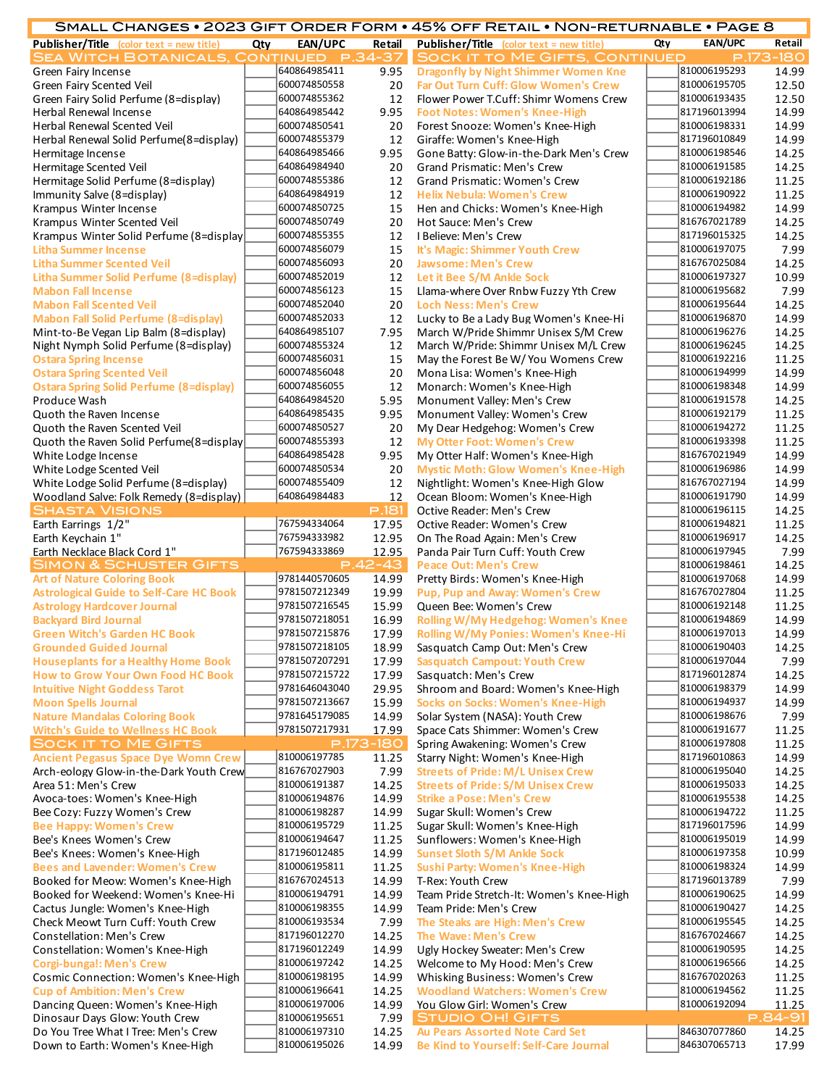|                                                                 |     |                              |              | SMALL CHANGES • 2023 GIFT ORDER FORM • 45% OFF RETAIL • NON-RETURNABLE • PAGE 8 |     |                              |                |
|-----------------------------------------------------------------|-----|------------------------------|--------------|---------------------------------------------------------------------------------|-----|------------------------------|----------------|
| <b>Publisher/Title</b> (color text = new title)                 | Qty | EAN/UPC                      | Retail       | <b>Publisher/Title</b> (color text = new title)                                 | Qty | <b>EAN/UPC</b>               | Retail         |
| <b>SEA WITCH BOTANICALS, CONTINUED</b>                          |     |                              | P.34-37      | <b>SOCK IT TO ME GIFTS, CONTINUED</b>                                           |     |                              | P.173-180      |
| Green Fairy Incense                                             |     | 640864985411                 | 9.95         | <b>Dragonfly by Night Shimmer Women Kne</b>                                     |     | 810006195293                 | 14.99          |
| Green Fairy Scented Veil                                        |     | 600074850558                 | 20           | <b>Far Out Turn Cuff: Glow Women's Crew</b>                                     |     | 810006195705                 | 12.50          |
| Green Fairy Solid Perfume (8=display)                           |     | 600074855362                 | 12           | Flower Power T.Cuff: Shimr Womens Crew                                          |     | 810006193435                 | 12.50          |
| Herbal Renewal Incense                                          |     | 640864985442                 | 9.95         | <b>Foot Notes: Women's Knee-High</b>                                            |     | 817196013994                 | 14.99          |
| Herbal Renewal Scented Veil                                     |     | 600074850541                 | 20           | Forest Snooze: Women's Knee-High                                                |     | 810006198331                 | 14.99          |
| Herbal Renewal Solid Perfume(8=display)                         |     | 600074855379                 | 12           | Giraffe: Women's Knee-High                                                      |     | 817196010849                 | 14.99          |
| Hermitage Incense                                               |     | 640864985466                 | 9.95         | Gone Batty: Glow-in-the-Dark Men's Crew                                         |     | 810006198546                 | 14.25          |
| Hermitage Scented Veil                                          |     | 640864984940                 | 20           | Grand Prismatic: Men's Crew                                                     |     | 810006191585                 | 14.25          |
| Hermitage Solid Perfume (8=display)                             |     | 600074855386                 | 12           | Grand Prismatic: Women's Crew                                                   |     | 810006192186                 | 11.25          |
| Immunity Salve (8=display)                                      |     | 640864984919                 | 12           | <b>Helix Nebula: Women's Crew</b>                                               |     | 810006190922                 | 11.25          |
| Krampus Winter Incense                                          |     | 600074850725                 | 15           | Hen and Chicks: Women's Knee-High                                               |     | 810006194982                 | 14.99          |
| Krampus Winter Scented Veil                                     |     | 600074850749                 | 20           | Hot Sauce: Men's Crew                                                           |     | 816767021789                 | 14.25          |
| Krampus Winter Solid Perfume (8=display                         |     | 600074855355                 | 12           | I Believe: Men's Crew                                                           |     | 817196015325                 | 14.25          |
| <b>Litha Summer Incense</b>                                     |     | 600074856079                 | 15           | It's Magic: Shimmer Youth Crew                                                  |     | 810006197075                 | 7.99           |
| <b>Litha Summer Scented Veil</b>                                |     | 600074856093                 | 20           | <b>Jawsome: Men's Crew</b>                                                      |     | 816767025084                 | 14.25          |
| <b>Litha Summer Solid Perfume (8=display)</b>                   |     | 600074852019                 | 12           | Let it Bee S/M Ankle Sock                                                       |     | 810006197327                 | 10.99          |
| <b>Mabon Fall Incense</b>                                       |     | 600074856123                 | 15           | Llama-where Over Rnbw Fuzzy Yth Crew                                            |     | 810006195682                 | 7.99           |
| <b>Mabon Fall Scented Veil</b>                                  |     | 600074852040                 | 20           | <b>Loch Ness: Men's Crew</b>                                                    |     | 810006195644                 | 14.25          |
| <b>Mabon Fall Solid Perfume (8=display)</b>                     |     | 600074852033                 | 12           | Lucky to Be a Lady Bug Women's Knee-Hi                                          |     | 810006196870                 | 14.99          |
| Mint-to-Be Vegan Lip Balm (8=display)                           |     | 640864985107                 | 7.95         | March W/Pride Shimmr Unisex S/M Crew                                            |     | 810006196276                 | 14.25          |
| Night Nymph Solid Perfume (8=display)                           |     | 600074855324                 | 12           | March W/Pride: Shimmr Unisex M/L Crew                                           |     | 810006196245<br>810006192216 | 14.25          |
| <b>Ostara Spring Incense</b>                                    |     | 600074856031                 | 15           | May the Forest Be W/ You Womens Crew                                            |     |                              | 11.25          |
| <b>Ostara Spring Scented Veil</b>                               |     | 600074856048                 | 20           | Mona Lisa: Women's Knee-High                                                    |     | 810006194999                 | 14.99          |
| <b>Ostara Spring Solid Perfume (8=display)</b>                  |     | 600074856055<br>640864984520 | 12           | Monarch: Women's Knee-High                                                      |     | 810006198348<br>810006191578 | 14.99          |
| Produce Wash                                                    |     | 640864985435                 | 5.95<br>9.95 | Monument Valley: Men's Crew                                                     |     | 810006192179                 | 14.25<br>11.25 |
| Quoth the Raven Incense                                         |     | 600074850527                 |              | Monument Valley: Women's Crew                                                   |     | 810006194272                 | 11.25          |
| Quoth the Raven Scented Veil                                    |     | 600074855393                 | 20           | My Dear Hedgehog: Women's Crew                                                  |     | 810006193398                 | 11.25          |
| Quoth the Raven Solid Perfume (8=display<br>White Lodge Incense |     | 640864985428                 | 12<br>9.95   | <b>My Otter Foot: Women's Crew</b><br>My Otter Half: Women's Knee-High          |     | 816767021949                 | 14.99          |
| White Lodge Scented Veil                                        |     | 600074850534                 | 20           | <b>Mystic Moth: Glow Women's Knee-High</b>                                      |     | 810006196986                 | 14.99          |
| White Lodge Solid Perfume (8=display)                           |     | 600074855409                 | 12           | Nightlight: Women's Knee-High Glow                                              |     | 816767027194                 | 14.99          |
| Woodland Salve: Folk Remedy (8=display)                         |     | 640864984483                 | 12           | Ocean Bloom: Women's Knee-High                                                  |     | 810006191790                 | 14.99          |
| <b>SHASTA VISIONS</b>                                           |     |                              | P.181        | Octive Reader: Men's Crew                                                       |     | 810006196115                 | 14.25          |
| Earth Earrings 1/2"                                             |     | 767594334064                 | 17.95        | Octive Reader: Women's Crew                                                     |     | 810006194821                 | 11.25          |
| Earth Keychain 1"                                               |     | 767594333982                 | 12.95        | On The Road Again: Men's Crew                                                   |     | 810006196917                 | 14.25          |
| Earth Necklace Black Cord 1"                                    |     | 767594333869                 | 12.95        | Panda Pair Turn Cuff: Youth Crew                                                |     | 810006197945                 | 7.99           |
| <b>SIMON &amp; SCHUSTER GIFTS</b>                               |     |                              | $P.42 - 43$  | <b>Peace Out: Men's Crew</b>                                                    |     | 810006198461                 | 14.25          |
| <b>Art of Nature Coloring Book</b>                              |     | 9781440570605                | 14.99        | Pretty Birds: Women's Knee-High                                                 |     | 810006197068                 | 14.99          |
| <b>Astrological Guide to Self-Care HC Book</b>                  |     | 9781507212349                | 19.99        | <b>Pup, Pup and Away: Women's Crew</b>                                          |     | 816767027804                 | 11.25          |
| <b>Astrology Hardcover Journal</b>                              |     | 9781507216545                | 15.99        | Queen Bee: Women's Crew                                                         |     | 810006192148                 | 11.25          |
| <b>Backyard Bird Journal</b>                                    |     | 9781507218051                | 16.99        | Rolling W/My Hedgehog: Women's Knee                                             |     | 810006194869                 | 14.99          |
| <b>Green Witch's Garden HC Book</b>                             |     | 9781507215876                | 17.99        | <b>Rolling W/My Ponies: Women's Knee-Hi</b>                                     |     | 810006197013                 | 14.99          |
| <b>Grounded Guided Journal</b>                                  |     | 9781507218105                | 18.99        | Sasquatch Camp Out: Men's Crew                                                  |     | 810006190403                 | 14.25          |
| <b>Houseplants for a Healthy Home Book</b>                      |     | 9781507207291                | 17.99        | <b>Sasquatch Campout: Youth Crew</b>                                            |     | 810006197044                 | 7.99           |
| <b>How to Grow Your Own Food HC Book</b>                        |     | 9781507215722                | 17.99        | Sasquatch: Men's Crew                                                           |     | 817196012874                 | 14.25          |
| <b>Intuitive Night Goddess Tarot</b>                            |     | 9781646043040                | 29.95        | Shroom and Board: Women's Knee-High                                             |     | 810006198379                 | 14.99          |
| <b>Moon Spells Journal</b>                                      |     | 9781507213667                | 15.99        | Socks on Socks: Women's Knee-High                                               |     | 810006194937                 | 14.99          |
| <b>Nature Mandalas Coloring Book</b>                            |     | 9781645179085                | 14.99        | Solar System (NASA): Youth Crew                                                 |     | 810006198676                 | 7.99           |
| <b>Witch's Guide to Wellness HC Book</b>                        |     | 9781507217931                | 17.99        | Space Cats Shimmer: Women's Crew                                                |     | 810006191677                 | 11.25          |
| <b>SOCK IT TO ME GIFTS</b>                                      |     |                              | P.173-180    | Spring Awakening: Women's Crew                                                  |     | 810006197808                 | 11.25          |
| <b>Ancient Pegasus Space Dye Womn Crew</b>                      |     | 810006197785                 | 11.25        | Starry Night: Women's Knee-High                                                 |     | 817196010863                 | 14.99          |
| Arch-eology Glow-in-the-Dark Youth Crew                         |     | 816767027903                 | 7.99         | <b>Streets of Pride: M/L Unisex Crew</b>                                        |     | 810006195040                 | 14.25          |
| Area 51: Men's Crew                                             |     | 810006191387                 | 14.25        | <b>Streets of Pride: S/M Unisex Crew</b>                                        |     | 810006195033                 | 14.25          |
| Avoca-toes: Women's Knee-High                                   |     | 810006194876                 | 14.99        | <b>Strike a Pose: Men's Crew</b>                                                |     | 810006195538                 | 14.25          |
| Bee Cozy: Fuzzy Women's Crew                                    |     | 810006198287                 | 14.99        | Sugar Skull: Women's Crew                                                       |     | 810006194722                 | 11.25          |
| <b>Bee Happy: Women's Crew</b>                                  |     | 810006195729                 | 11.25        | Sugar Skull: Women's Knee-High                                                  |     | 817196017596                 | 14.99          |
| Bee's Knees Women's Crew                                        |     | 810006194647                 | 11.25        | Sunflowers: Women's Knee-High                                                   |     | 810006195019                 | 14.99          |
| Bee's Knees: Women's Knee-High                                  |     | 817196012485                 | 14.99        | <b>Sunset Sloth S/M Ankle Sock</b>                                              |     | 810006197358                 | 10.99          |
| <b>Bees and Lavender: Women's Crew</b>                          |     | 810006195811                 | 11.25        | <b>Sushi Party: Women's Knee-High</b>                                           |     | 810006198324                 | 14.99          |
| Booked for Meow: Women's Knee-High                              |     | 816767024513                 | 14.99        | T-Rex: Youth Crew                                                               |     | 817196013789                 | 7.99           |
| Booked for Weekend: Women's Knee-Hi                             |     | 810006194791                 | 14.99        | Team Pride Stretch-It: Women's Knee-High                                        |     | 810006190625                 | 14.99          |
| Cactus Jungle: Women's Knee-High                                |     | 810006198355                 | 14.99        | Team Pride: Men's Crew                                                          |     | 810006190427                 | 14.25          |
| Check Meowt Turn Cuff: Youth Crew                               |     | 810006193534                 | 7.99         | The Steaks are High: Men's Crew                                                 |     | 810006195545                 | 14.25          |
| Constellation: Men's Crew                                       |     | 817196012270                 | 14.25        | The Wave: Men's Crew                                                            |     | 816767024667                 | 14.25          |
| Constellation: Women's Knee-High                                |     | 817196012249                 | 14.99        | Ugly Hockey Sweater: Men's Crew                                                 |     | 810006190595                 | 14.25          |
| <b>Corgi-bungal: Men's Crew</b>                                 |     | 810006197242                 | 14.25        | Welcome to My Hood: Men's Crew                                                  |     | 810006196566                 | 14.25          |
| Cosmic Connection: Women's Knee-High                            |     | 810006198195                 | 14.99        | Whisking Business: Women's Crew                                                 |     | 816767020263                 | 11.25          |
| <b>Cup of Ambition: Men's Crew</b>                              |     | 810006196641                 | 14.25        | <b>Woodland Watchers: Women's Crew</b>                                          |     | 810006194562                 | 11.25          |
| Dancing Queen: Women's Knee-High                                |     | 810006197006                 | 14.99        | You Glow Girl: Women's Crew                                                     |     | 810006192094                 | 11.25          |
| Dinosaur Days Glow: Youth Crew                                  |     | 810006195651                 | 7.99         | <b>STUDIO OH! GIFTS</b>                                                         |     |                              | P.84-91        |
| Do You Tree What I Tree: Men's Crew                             |     | 810006197310                 | 14.25        | Au Pears Assorted Note Card Set                                                 |     | 846307077860                 | 14.25          |

Down to Earth: Women's Knee-High 810006195026 14.99 **Be Kind to Yourself: Self-Care Journal** 846307065713 17.99